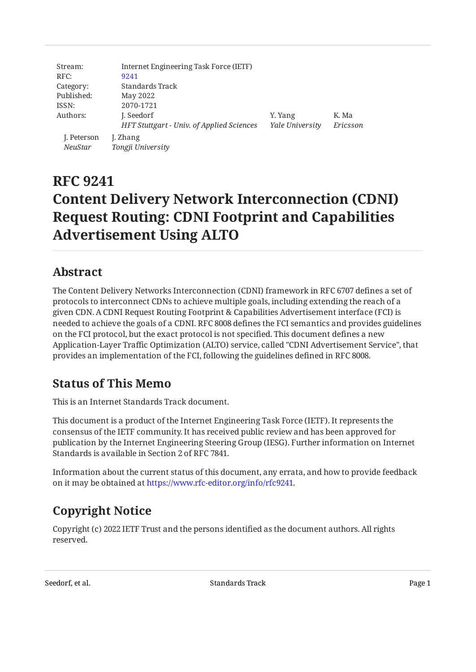| Stream:                       | Internet Engineering Task Force (IETF)    |                 |          |
|-------------------------------|-------------------------------------------|-----------------|----------|
| RFC:                          | 9241                                      |                 |          |
| Category:                     | Standards Track                           |                 |          |
| Published:                    | May 2022                                  |                 |          |
| ISSN:                         | 2070-1721                                 |                 |          |
| Authors:                      | J. Seedorf                                | Y. Yang         | K. Ma    |
|                               | HFT Stuttgart - Univ. of Applied Sciences | Yale University | Ericsson |
| J. Peterson<br><b>NeuStar</b> | J. Zhang<br>Tongji University             |                 |          |

# **RFC 9241 Content Delivery Network Interconnection (CDNI) Request Routing: CDNI Footprint and Capabilities Advertisement Using ALTO**

## <span id="page-0-0"></span>**[Abstract](#page-0-0)**

The Content Delivery Networks Interconnection (CDNI) framework in RFC 6707 defines a set of protocols to interconnect CDNs to achieve multiple goals, including extending the reach of a given CDN. A CDNI Request Routing Footprint & Capabilities Advertisement interface (FCI) is needed to achieve the goals of a CDNI. RFC 8008 defines the FCI semantics and provides guidelines on the FCI protocol, but the exact protocol is not specified. This document defines a new Application-Layer Traffic Optimization (ALTO) service, called "CDNI Advertisement Service", that provides an implementation of the FCI, following the guidelines defined in RFC 8008.

## <span id="page-0-1"></span>**[Status of This Memo](#page-0-1)**

This is an Internet Standards Track document.

This document is a product of the Internet Engineering Task Force (IETF). It represents the consensus of the IETF community. It has received public review and has been approved for publication by the Internet Engineering Steering Group (IESG). Further information on Internet Standards is available in Section 2 of RFC 7841.

Information about the current status of this document, any errata, and how to provide feedback on it may be obtained at [https://www.rfc-editor.org/info/rfc9241.](https://www.rfc-editor.org/info/rfc9241)

## <span id="page-0-2"></span>**[Copyright Notice](#page-0-2)**

Copyright (c) 2022 IETF Trust and the persons identified as the document authors. All rights reserved.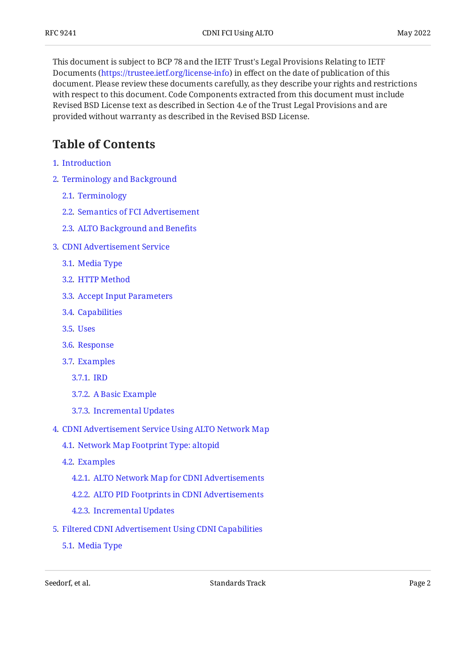This document is subject to BCP 78 and the IETF Trust's Legal Provisions Relating to IETF Documents (<https://trustee.ietf.org/license-info>) in effect on the date of publication of this document. Please review these documents carefully, as they describe your rights and restrictions with respect to this document. Code Components extracted from this document must include Revised BSD License text as described in Section 4.e of the Trust Legal Provisions and are provided without warranty as described in the Revised BSD License.

## <span id="page-1-0"></span>**[Table of Contents](#page-1-0)**

- [1](#page-3-0). [Introduction](#page-3-0)
- [2](#page-4-0). [Terminology and Background](#page-4-0)
	- [2.1.](#page-4-1) [Terminology](#page-4-1)
	- [2.2.](#page-4-2) [Semantics of FCI Advertisement](#page-4-2)
	- [2.3.](#page-5-0) [ALTO Background and Bene](#page-5-0)fits
- [3](#page-7-0). [CDNI Advertisement Service](#page-7-0)
	- [3.1.](#page-7-1) [Media Type](#page-7-1)
	- [3.2.](#page-7-2) [HTTP Method](#page-7-2)
	- [3.3.](#page-7-3) [Accept Input Parameters](#page-7-3)
	- [3.4.](#page-7-4) [Capabilities](#page-7-4)
	- [3.5.](#page-8-0) [Uses](#page-8-0)
	- [3.6.](#page-8-1) [Response](#page-8-1)
	- [3.7.](#page-11-0) [Examples](#page-11-0)
		- [3.7.1](#page-11-1). [IRD](#page-11-1)
		- [3.7.2](#page-14-0). [A Basic Example](#page-14-0)
		- [3.7.3](#page-16-0). [Incremental Updates](#page-16-0)
- [4](#page-18-0). [CDNI Advertisement Service Using ALTO Network Map](#page-18-0)
	- [4.1.](#page-18-1) [Network Map Footprint Type: altopid](#page-18-1)
	- [4.2.](#page-18-2) [Examples](#page-18-2)
		- [4.2.1](#page-18-3). [ALTO Network Map for CDNI Advertisements](#page-18-3)
		- [4.2.2](#page-19-0). [ALTO PID Footprints in CDNI Advertisements](#page-19-0)
		- [4.2.3](#page-20-0). [Incremental Updates](#page-20-0)
- [5](#page-22-0). [Filtered CDNI Advertisement Using CDNI Capabilities](#page-22-0)
	- [5.1.](#page-22-1) [Media Type](#page-22-1)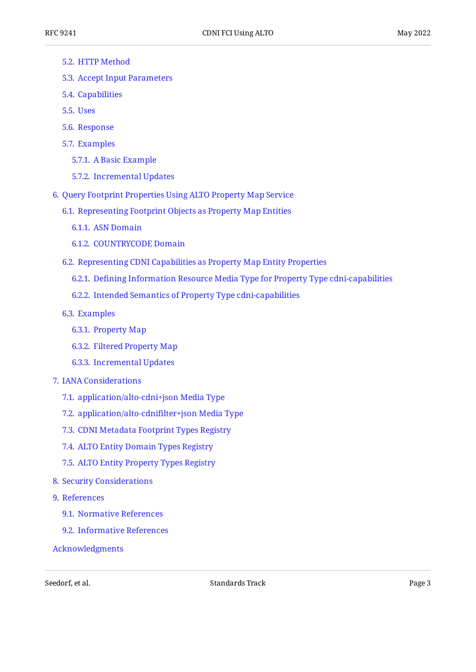- [5.2.](#page-22-2) [HTTP Method](#page-22-2)
- [5.3.](#page-22-3) [Accept Input Parameters](#page-22-3)
- [5.4.](#page-23-0) [Capabilities](#page-23-0)
- [5.5.](#page-23-1) [Uses](#page-23-1)
- [5.6.](#page-23-2) [Response](#page-23-2)
- [5.7.](#page-24-0) [Examples](#page-24-0)
	- [5.7.1](#page-24-1). [A Basic Example](#page-24-1)
	- [5.7.2](#page-25-0). [Incremental Updates](#page-25-0)
- [6](#page-26-0). [Query Footprint Properties Using ALTO Property Map Service](#page-26-0)
	- [6.1.](#page-27-0) [Representing Footprint Objects as Property Map Entities](#page-27-0)
		- [6.1.1](#page-28-0). [ASN Domain](#page-28-0)
		- [6.1.2](#page-28-1). [COUNTRYCODE Domain](#page-28-1)
	- [6.2.](#page-28-2) [Representing CDNI Capabilities as Property Map Entity Properties](#page-28-2)
		- [6.2.1](#page-29-0). Defi[ning Information Resource Media Type for Property Type cdni-capabilities](#page-29-0)
		- [6.2.2](#page-29-1). [Intended Semantics of Property Type cdni-capabilities](#page-29-1)
	- [6.3.](#page-29-2) [Examples](#page-29-2)
		- [6.3.1](#page-29-3). [Property Map](#page-29-3)
		- [6.3.2](#page-31-0). [Filtered Property Map](#page-31-0)
		- [6.3.3](#page-31-1). [Incremental Updates](#page-31-1)
- [7](#page-33-0). [IANA Considerations](#page-33-0)
	- [7.1.](#page-33-1) [application/alto-cdni+json Media Type](#page-33-1)
	- [7.2.](#page-34-0) [application/alto-cdni](#page-34-0)filter+json Media Type
	- [7.3.](#page-35-0) [CDNI Metadata Footprint Types Registry](#page-35-0)
	- [7.4.](#page-35-1) [ALTO Entity Domain Types Registry](#page-35-1)
	- [7.5.](#page-36-0) [ALTO Entity Property Types Registry](#page-36-0)
- [8](#page-36-1). [Security Considerations](#page-36-1)
- [9](#page-37-0). [References](#page-37-0)
	- [9.1.](#page-37-1) [Normative References](#page-37-1)
	- [9.2.](#page-38-0) [Informative References](#page-38-0)
- [Acknowledgments](#page-39-0)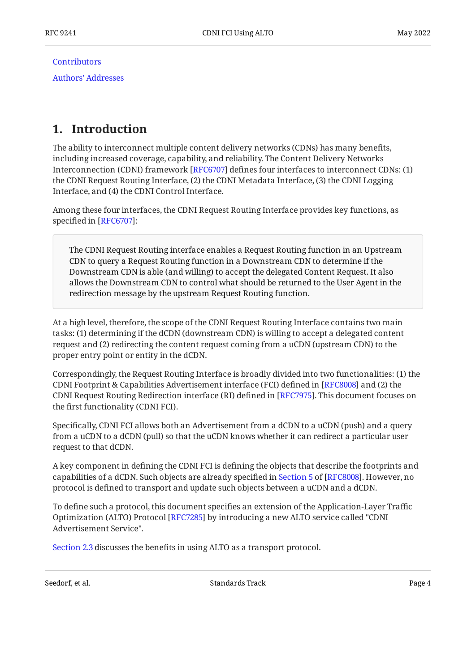**[Contributors](#page-39-1)** 

[Authors' Addresses](#page-40-0)

## <span id="page-3-0"></span>**[1. Introduction](#page-3-0)**

The ability to interconnect multiple content delivery networks (CDNs) has many benefits, including increased coverage, capability, and reliability. The Content Delivery Networks Interconnection (CDNI) framework [\[RFC6707](#page-39-2)] defines four interfaces to interconnect CDNs: (1) the CDNI Request Routing Interface, (2) the CDNI Metadata Interface, (3) the CDNI Logging Interface, and (4) the CDNI Control Interface.

Among these four interfaces, the CDNI Request Routing Interface provides key functions, as specified in  $[RFC6707]$ :

The CDNI Request Routing interface enables a Request Routing function in an Upstream CDN to query a Request Routing function in a Downstream CDN to determine if the Downstream CDN is able (and willing) to accept the delegated Content Request. It also allows the Downstream CDN to control what should be returned to the User Agent in the redirection message by the upstream Request Routing function.

At a high level, therefore, the scope of the CDNI Request Routing Interface contains two main tasks: (1) determining if the dCDN (downstream CDN) is willing to accept a delegated content request and (2) redirecting the content request coming from a uCDN (upstream CDN) to the proper entry point or entity in the dCDN.

Correspondingly, the Request Routing Interface is broadly divided into two functionalities: (1) the CDNI Footprint & Capabilities Advertisement interface (FCI) defined in  $[{\rm RFC8008}]$  and (2) the CDNI Request Routing Redirection interface (RI) defined in [\[RFC7975\]](#page-39-3). This document focuses on the first functionality (CDNI FCI).

Specifically, CDNI FCI allows both an Advertisement from a dCDN to a uCDN (push) and a query from a uCDN to a dCDN (pull) so that the uCDN knows whether it can redirect a particular user request to that dCDN.

A key component in defining the CDNI FCI is defining the objects that describe the footprints and capabilitiesof a dCDN. Such objects are already specified in Section 5 of [RFC8008]. However, no protocol is defined to transport and update such objects between a uCDN and a dCDN.

To define such a protocol, this document specifies an extension of the Application-Layer Traffic Optimization (ALTO) Protocol [RFC7285] by introducing a new ALTO service called "CDNI Advertisement Service".

[Section 2.3](#page-5-0) discusses the benefits in using ALTO as a transport protocol.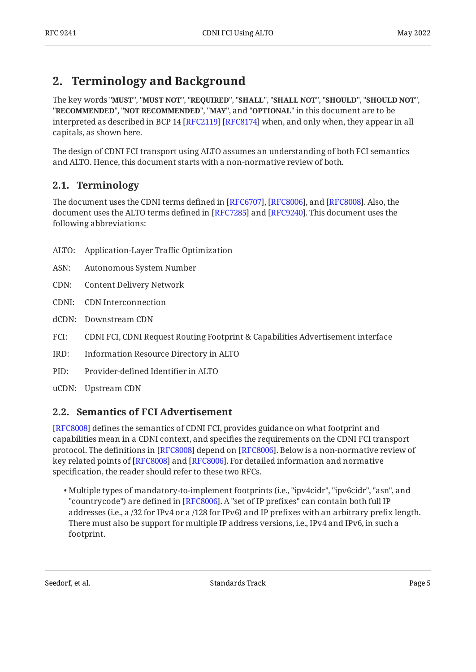## <span id="page-4-0"></span>**[2. Terminology and Background](#page-4-0)**

The key words "MUST", "MUST NOT", "REQUIRED", "SHALL", "SHALL NOT", "SHOULD", "SHOULD NOT", "**RECOMMENDED", "NOT RECOMMENDED", "MAY",** and "OPTIONAL" in this document are to be interpreted as described in BCP 14 [RFC2119] [RFC8174] when, and only when, they appear in all capitals, as shown here.

The design of CDNI FCI transport using ALTO assumes an understanding of both FCI semantics and ALTO. Hence, this document starts with a non-normative review of both.

## <span id="page-4-1"></span>**[2.1. Terminology](#page-4-1)**

The document uses the CDNI terms defined in [RFC6707], [RFC8006], and [RFC8008]. Also, the document uses the ALTO terms defined in [RFC7285] and [RFC9240]. This document uses the following abbreviations:

- ALTO: Application-Layer Traffic Optimization
- ASN: Autonomous System Number
- CDN: Content Delivery Network
- CDNI: CDN Interconnection
- dCDN: Downstream CDN
- FCI: CDNI FCI, CDNI Request Routing Footprint & Capabilities Advertisement interface
- IRD: Information Resource Directory in ALTO
- PID: Provider-defined Identifier in ALTO
- <span id="page-4-2"></span>uCDN: Upstream CDN

## **[2.2. Semantics of FCI Advertisement](#page-4-2)**

[[RFC8008\]](#page-38-1) defines the semantics of CDNI FCI, provides guidance on what footprint and capabilities mean in a CDNI context, and specifies the requirements on the CDNI FCI transport protocol. The definitions in [RFC8008] depend on [RFC8006]. Below is a non-normative review of key related points of [\[RFC8008](#page-38-1)] and [[RFC8006\]](#page-38-4). For detailed information and normative specification, the reader should refer to these two RFCs.

• Multiple types of mandatory-to-implement footprints (i.e., "ipv4cidr", "ipv6cidr", "asn", and "countrycode") are defined in [\[RFC8006\]](#page-38-4). A "set of IP prefixes" can contain both full IP  $\,$ addresses (i.e., a /32 for IPv4 or a /128 for IPv6) and IP prefixes with an arbitrary prefix length. There must also be support for multiple IP address versions, i.e., IPv4 and IPv6, in such a footprint.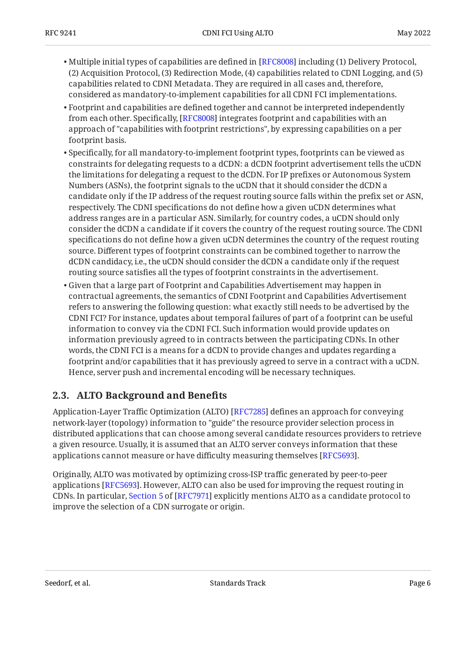- $\bullet$  Multiple initial types of capabilities are defined in [\[RFC8008](#page-38-1)] including (1) Delivery Protocol, (2) Acquisition Protocol, (3) Redirection Mode, (4) capabilities related to CDNI Logging, and (5) capabilities related to CDNI Metadata. They are required in all cases and, therefore, considered as mandatory-to-implement capabilities for all CDNI FCI implementations.
- Footprint and capabilities are defined together and cannot be interpreted independently from each other. Specifically, [RFC8008] integrates footprint and capabilities with an approach of "capabilities with footprint restrictions", by expressing capabilities on a per footprint basis.
- $\bullet$  Specifically, for all mandatory-to-implement footprint types, footprints can be viewed as constraints for delegating requests to a dCDN: a dCDN footprint advertisement tells the uCDN the limitations for delegating a request to the dCDN. For IP prefixes or Autonomous System Numbers (ASNs), the footprint signals to the uCDN that it should consider the dCDN a candidate only if the IP address of the request routing source falls within the prefix set or ASN, respectively. The CDNI specifications do not define how a given uCDN determines what address ranges are in a particular ASN. Similarly, for country codes, a uCDN should only consider the dCDN a candidate if it covers the country of the request routing source. The CDNI specifications do not define how a given uCDN determines the country of the request routing source. Different types of footprint constraints can be combined together to narrow the dCDN candidacy, i.e., the uCDN should consider the dCDN a candidate only if the request routing source satisfies all the types of footprint constraints in the advertisement.
- $\bullet$  Given that a large part of Footprint and Capabilities Advertisement may happen in contractual agreements, the semantics of CDNI Footprint and Capabilities Advertisement refers to answering the following question: what exactly still needs to be advertised by the CDNI FCI? For instance, updates about temporal failures of part of a footprint can be useful information to convey via the CDNI FCI. Such information would provide updates on information previously agreed to in contracts between the participating CDNs. In other words, the CDNI FCI is a means for a dCDN to provide changes and updates regarding a footprint and/or capabilities that it has previously agreed to serve in a contract with a uCDN. Hence, server push and incremental encoding will be necessary techniques.

## <span id="page-5-0"></span>**[2.3. ALTO Background and Bene](#page-5-0)fits**

Application-Layer Traffic Optimization (ALTO) [RFC7285] defines an approach for conveying network-layer (topology) information to "guide" the resource provider selection process in distributed applications that can choose among several candidate resources providers to retrieve a given resource. Usually, it is assumed that an ALTO server conveys information that these applications cannot measure or have difficulty measuring themselves [RFC5693].

Originally, ALTO was motivated by optimizing cross-ISP traffic generated by peer-to-peer applications [RFC5693]. However, ALTO can also be used for improving the request routing in CDNs.In particular, Section 5 of [RFC7971] explicitly mentions ALTO as a candidate protocol to improve the selection of a CDN surrogate or origin.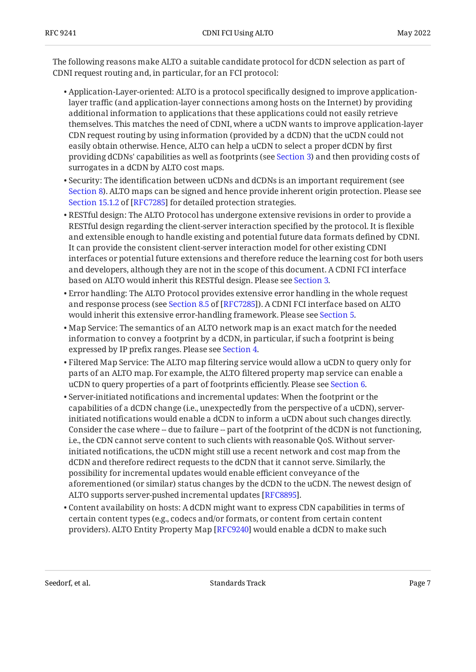The following reasons make ALTO a suitable candidate protocol for dCDN selection as part of CDNI request routing and, in particular, for an FCI protocol:

- $\bullet$  Application-Layer-oriented: ALTO is a protocol specifically designed to improve applicationlayer traffic (and application-layer connections among hosts on the Internet) by providing additional information to applications that these applications could not easily retrieve themselves. This matches the need of CDNI, where a uCDN wants to improve application-layer CDN request routing by using information (provided by a dCDN) that the uCDN could not easily obtain otherwise. Hence, ALTO can help a uCDN to select a proper dCDN by first providing dCDNs' capabilities as well as footprints (see [Section 3\)](#page-7-0) and then providing costs of surrogates in a dCDN by ALTO cost maps.
- $\bullet$  Security: The identification between uCDNs and dCDNs is an important requirement (see [Section 8\)](#page-36-1). ALTO maps can be signed and hence provide inherent origin protection. Please see [Section 15.1.2](https://www.rfc-editor.org/rfc/rfc7285#section-15.1.2) of [[RFC7285\]](#page-38-2) for detailed protection strategies.
- $\bullet$  RESTful design: The ALTO Protocol has undergone extensive revisions in order to provide a RESTful design regarding the client-server interaction specified by the protocol. It is flexible and extensible enough to handle existing and potential future data formats defined by CDNI. It can provide the consistent client-server interaction model for other existing CDNI interfaces or potential future extensions and therefore reduce the learning cost for both users and developers, although they are not in the scope of this document. A CDNI FCI interface based on ALTO would inherit this RESTful design. Please see [Section 3.](#page-7-0)
- Error handling: The ALTO Protocol provides extensive error handling in the whole request andresponse process (see Section 8.5 of [RFC7285]). A CDNI FCI interface based on ALTO would inherit this extensive error-handling framework. Please see [Section 5.](#page-22-0)
- Map Service: The semantics of an ALTO network map is an exact match for the needed information to convey a footprint by a dCDN, in particular, if such a footprint is being expressed by IP prefix ranges. Please see [Section 4.](#page-18-0)
- $\bullet$  Filtered Map Service: The ALTO map filtering service would allow a uCDN to query only for parts of an ALTO map. For example, the ALTO filtered property map service can enable a uCDN to query properties of a part of footprints efficiently. Please see [Section 6.](#page-26-0)
- $\bullet$  Server-initiated notifications and incremental updates: When the footprint or the capabilities of a dCDN change (i.e., unexpectedly from the perspective of a uCDN), serverinitiated notifications would enable a dCDN to inform a uCDN about such changes directly. Consider the case where -- due to failure -- part of the footprint of the dCDN is not functioning, i.e., the CDN cannot serve content to such clients with reasonable QoS. Without serverinitiated notifications, the uCDN might still use a recent network and cost map from the dCDN and therefore redirect requests to the dCDN that it cannot serve. Similarly, the possibility for incremental updates would enable efficient conveyance of the aforementioned (or similar) status changes by the dCDN to the uCDN. The newest design of ALTO supports server-pushed incremental updates [\[RFC8895\]](#page-38-7).
- $\bullet$  Content availability on hosts: A dCDN might want to express CDN capabilities in terms of certain content types (e.g., codecs and/or formats, or content from certain content providers). ALTO Entity Property Map [\[RFC9240\]](#page-38-5) would enable a dCDN to make such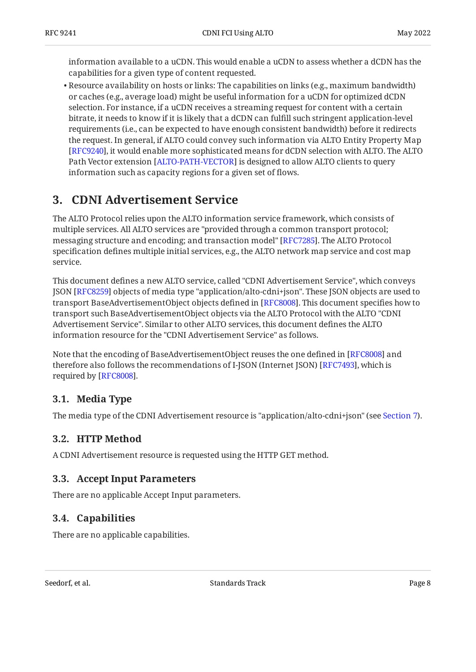information available to a uCDN. This would enable a uCDN to assess whether a dCDN has the capabilities for a given type of content requested.

 $\bullet$  Resource availability on hosts or links: The capabilities on links (e.g., maximum bandwidth) or caches (e.g., average load) might be useful information for a uCDN for optimized dCDN selection. For instance, if a uCDN receives a streaming request for content with a certain bitrate, it needs to know if it is likely that a dCDN can fulfill such stringent application-level requirements (i.e., can be expected to have enough consistent bandwidth) before it redirects the request. In general, if ALTO could convey such information via ALTO Entity Property Map [[RFC9240\]](#page-38-5), it would enable more sophisticated means for dCDN selection with ALTO. The ALTO Path Vector extension [ALTO-PATH-VECTOR] is designed to allow ALTO clients to query information such as capacity regions for a given set of flows.

## <span id="page-7-0"></span>**[3. CDNI Advertisement Service](#page-7-0)**

The ALTO Protocol relies upon the ALTO information service framework, which consists of multiple services. All ALTO services are "provided through a common transport protocol; messaging structure and encoding; and transaction model" [[RFC7285\]](#page-38-2). The ALTO Protocol specification defines multiple initial services, e.g., the ALTO network map service and cost map service.

This document defines a new ALTO service, called "CDNI Advertisement Service", which conveys JSON [[RFC8259\]](#page-38-9) objects of media type "application/alto-cdni+json". These JSON objects are used to transport BaseAdvertisementObject objects defined in [[RFC8008\]](#page-38-1). This document specifies how to transport such BaseAdvertisementObject objects via the ALTO Protocol with the ALTO "CDNI Advertisement Service". Similar to other ALTO services, this document defines the ALTO information resource for the "CDNI Advertisement Service" as follows.

Note that the encoding of BaseAdvertisementObject reuses the one defined in [RFC8008] and therefore also follows the recommendations of I-JSON (Internet JSON) [RFC7493], which is required by [[RFC8008\]](#page-38-1).

## <span id="page-7-1"></span>**[3.1. Media Type](#page-7-1)**

<span id="page-7-2"></span>The media type of the CDNI Advertisement resource is "application/alto-cdni+json" (see [Section 7\)](#page-33-0).

## **[3.2. HTTP Method](#page-7-2)**

<span id="page-7-3"></span>A CDNI Advertisement resource is requested using the HTTP GET method.

## **[3.3. Accept Input Parameters](#page-7-3)**

<span id="page-7-4"></span>There are no applicable Accept Input parameters.

### **[3.4. Capabilities](#page-7-4)**

There are no applicable capabilities.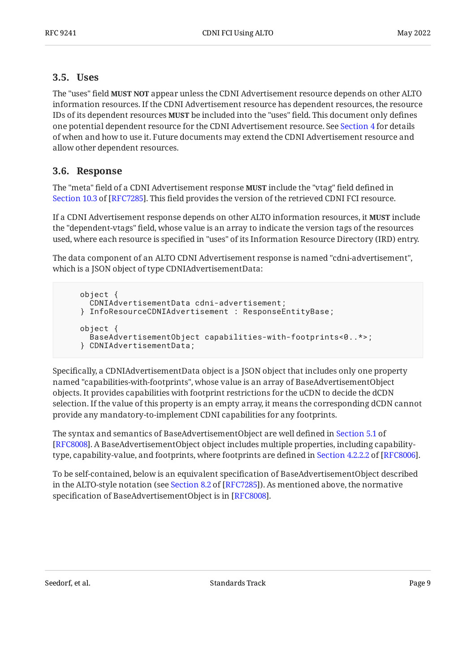#### <span id="page-8-0"></span>**[3.5. Uses](#page-8-0)**

The "uses" field **MUST NOT** appear unless the CDNI Advertisement resource depends on other ALTO information resources. If the CDNI Advertisement resource has dependent resources, the resource IDs of its dependent resources **MUST** be included into the "uses" field. This document only defines one potential dependent resource for the CDNI Advertisement resource. See [Section 4](#page-18-0) for details of when and how to use it. Future documents may extend the CDNI Advertisement resource and allow other dependent resources.

### <span id="page-8-1"></span>**[3.6. Response](#page-8-1)**

The "meta" field of a CDNI Advertisement response **MUST** include the "vtag" field defined in [Section 10.3](https://www.rfc-editor.org/rfc/rfc7285#section-10.3) of [\[RFC7285](#page-38-2)]. This field provides the version of the retrieved CDNI FCI resource.

If a CDNI Advertisement response depends on other ALTO information resources, it **MUST** include the "dependent-vtags" field, whose value is an array to indicate the version tags of the resources used, where each resource is specified in "uses" of its Information Resource Directory (IRD) entry.

The data component of an ALTO CDNI Advertisement response is named "cdni-advertisement", which is a JSON object of type CDNIAdvertisementData:

```
 object {
   CDNIAdvertisementData cdni-advertisement;
 } InfoResourceCDNIAdvertisement : ResponseEntityBase;
 object {
   BaseAdvertisementObject capabilities-with-footprints<0..*>;
 } CDNIAdvertisementData;
```
Specifically, a CDNIAdvertisementData object is a JSON object that includes only one property named "capabilities-with-footprints", whose value is an array of BaseAdvertisementObject objects. It provides capabilities with footprint restrictions for the uCDN to decide the dCDN selection. If the value of this property is an empty array, it means the corresponding dCDN cannot provide any mandatory-to-implement CDNI capabilities for any footprints.

The syntax and semantics of BaseAdvertisementObject are well defined in [Section 5.1](https://www.rfc-editor.org/rfc/rfc8008#section-5.1) of . A BaseAdvertisementObject object includes multiple properties, including capability-[[RFC8008\]](#page-38-1) type,capability-value, and footprints, where footprints are defined in Section 4.2.2.2 of [RFC8006].

To be self-contained, below is an equivalent specification of BaseAdvertisementObject described inthe ALTO-style notation (see Section 8.2 of [RFC7285]). As mentioned above, the normative specification of BaseAdvertisementObject is in [\[RFC8008\]](#page-38-1).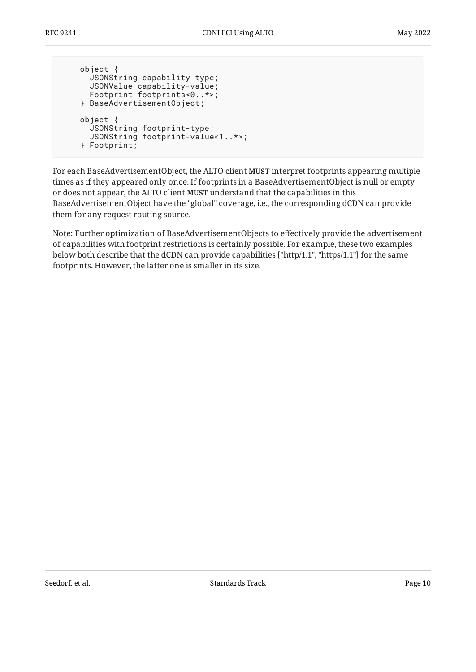```
 object {
   JSONString capability-type;
   JSONValue capability-value;
   Footprint footprints<0..*>;
 } BaseAdvertisementObject;
 object {
   JSONString footprint-type;
   JSONString footprint-value<1..*>;
 } Footprint;
```
For each BaseAdvertisementObject, the ALTO client **MUST** interpret footprints appearing multiple times as if they appeared only once. If footprints in a BaseAdvertisementObject is null or empty or does not appear, the ALTO client **MUST** understand that the capabilities in this BaseAdvertisementObject have the "global" coverage, i.e., the corresponding dCDN can provide them for any request routing source.

Note: Further optimization of BaseAdvertisementObjects to effectively provide the advertisement of capabilities with footprint restrictions is certainly possible. For example, these two examples below both describe that the dCDN can provide capabilities ["http/1.1", "https/1.1"] for the same footprints. However, the latter one is smaller in its size.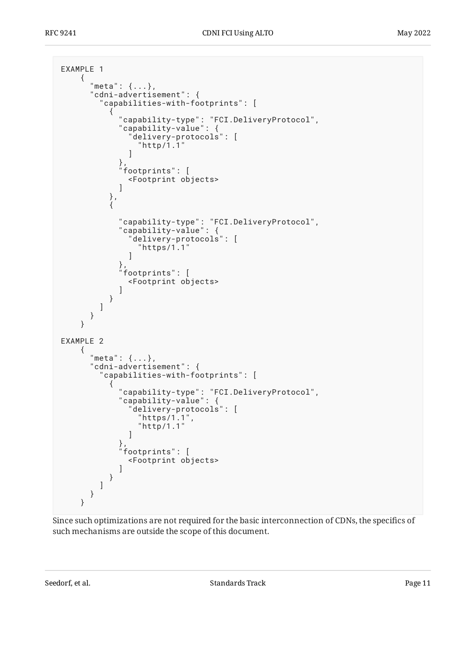```
EXAMPLE 1
      {
         "meta": {...},
         "cdni-advertisement": {
            "capabilities-with-footprints": [
\{ "capability-type": "FCI.DeliveryProtocol",
 "capability-value": {
                    "delivery-protocols": [
                    "http/1.1"
 ]
 },
 "footprints": [
                 <Footprint objects>
 ]
\},
\{ "capability-type": "FCI.DeliveryProtocol",
 "capability-value": {
                    "delivery-protocols": [
                    "https/1.1"
\sim 100 \sim 100 \sim 100 \sim 100 \sim 100 \sim 100 \sim 100 \sim 100 \sim 100 \sim 100 \sim 100 \sim 100 \sim 100 \sim 100 \sim 100 \sim 100 \sim 100 \sim 100 \sim 100 \sim 100 \sim 100 \sim 100 \sim 100 \sim 100 \sim 
\},
 "footprints": [
                    <Footprint objects>
\sim 100 \sim 100 \sim 100 \sim 100 \sim 100 \sim }
           ]
         }
      }
EXAMPLE 2
      {
         "meta": {...},
         "cdni-advertisement": {
            "capabilities-with-footprints": [
\{ "capability-type": "FCI.DeliveryProtocol",
                 "capability-value": {
                    "delivery-protocols": [
                       "https/1.1",
                    "http/1.1"
\sim 100 \sim 100 \sim 100 \sim 100 \sim 100 \sim 100 \sim 100 \sim 100 \sim 100 \sim 100 \sim 100 \sim 100 \sim 100 \sim 100 \sim 100 \sim 100 \sim 100 \sim 100 \sim 100 \sim 100 \sim 100 \sim 100 \sim 100 \sim 100 \sim 
\},
 "footprints": [
                 <Footprint objects>
 ]
              }
           ]
         }
      }
```
Since such optimizations are not required for the basic interconnection of CDNs, the specifics of such mechanisms are outside the scope of this document.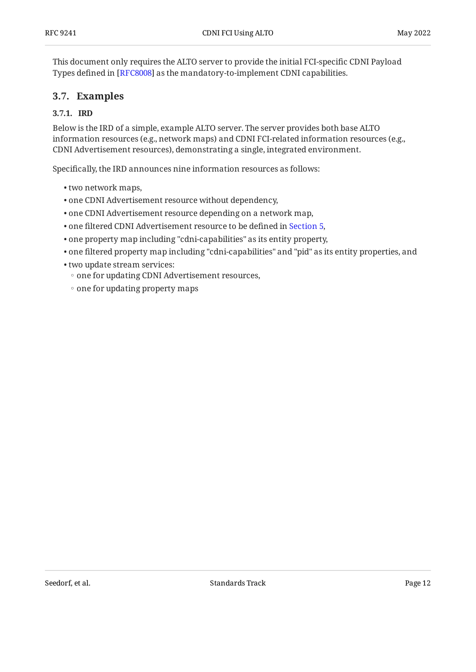This document only requires the ALTO server to provide the initial FCI-specific CDNI Payload Types defined in [RFC8008] as the mandatory-to-implement CDNI capabilities.

### <span id="page-11-1"></span><span id="page-11-0"></span>**[3.7. Examples](#page-11-0)**

#### **[3.7.1. IRD](#page-11-1)**

Below is the IRD of a simple, example ALTO server. The server provides both base ALTO information resources (e.g., network maps) and CDNI FCI-related information resources (e.g., CDNI Advertisement resources), demonstrating a single, integrated environment.

Specifically, the IRD announces nine information resources as follows:

- two network maps, •
- one CDNI Advertisement resource without dependency, •
- one CDNI Advertisement resource depending on a network map, •
- one filtered CDNI Advertisement resource to be defined in [Section 5,](#page-22-0)
- one property map including "cdni-capabilities" as its entity property, •
- $\bullet$  one filtered property map including "cdni-capabilities" and "pid" as its entity properties, and
- two update stream services: •
- one for updating CDNI Advertisement resources,
- one for updating property maps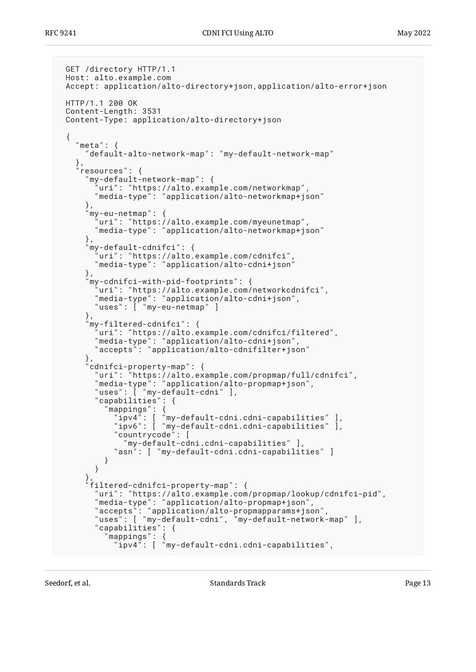```
 GET /directory HTTP/1.1
 Host: alto.example.com
 Accept: application/alto-directory+json,application/alto-error+json
 HTTP/1.1 200 OK
 Content-Length: 3531
 Content-Type: application/alto-directory+json
 {
   "meta": {
      "default-alto-network-map": "my-default-network-map"
 },
 "resources": {
      "my-default-network-map": {
       'uri": "https://alto.example.com/networkmap",
       "media-type": "application/alto-networkmap+json"
     },
      "my-eu-netmap": {
        "uri": "https://alto.example.com/myeunetmap",
       "media-type": "application/alto-networkmap+json"
     },
     my-default-cdnifci": {
 "uri": "https://alto.example.com/cdnifci",
 "media-type": "application/alto-cdni+json"
     },
      "my-cdnifci-with-pid-footprints": {
        "uri": "https://alto.example.com/networkcdnifci",
       "media-type": "application/alto-cdni+json",
       "uses": [ "my-eu-netmap" ]
     },
      "my-filtered-cdnifci": {
        "uri": "https://alto.example.com/cdnifci/filtered",
 "media-type": "application/alto-cdni+json",
 "accepts": "application/alto-cdnifilter+json"
     },
      "cdnifci-property-map": {
        "uri": "https://alto.example.com/propmap/full/cdnifci",
       "media-type": "application/alto-propmap+json",
       "uses": [ "my-default-cdni" ],
       "capabilities": {
 "mappings": {
 "ipv4": [ "my-default-cdni.cdni-capabilities" ],
 "ipv6": [ "my-default-cdni.cdni-capabilities" ],
 "countrycode": [
             "my-default-cdni.cdni-capabilities" ],
           "asn": [ "my-default-cdni.cdni-capabilities" ]
         }
       }
 },
 "filtered-cdnifci-property-map": {
        "uri": "https://alto.example.com/propmap/lookup/cdnifci-pid",
 "media-type": "application/alto-propmap+json",
 "accepts": "application/alto-propmapparams+json",
 "uses": [ "my-default-cdni", "my-default-network-map" ],
       "capabilities": {
          "mappings": {
           "ipv4": [ "my-default-cdni.cdni-capabilities",
```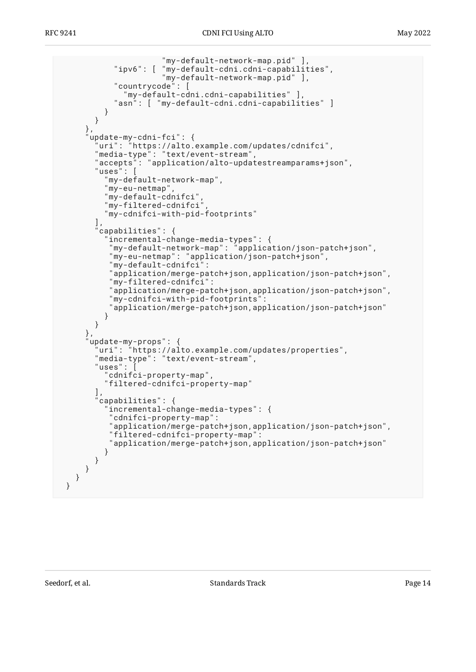,[ "my-default-network-map.pid" ]<br>ipv6": [ "my-default-cdni.cdni-capabilit" ] "my-default-cdni.cdni-capabilities", "my-default-network-map.pid" ], "countrycode": [ "my-default-cdni.cdni-capabilities" ], "asn": [ "my-default-cdni.cdni-capabilities" ] } } }, "update-my-cdni-fci": { "uri": "https://alto.example.com/updates/cdnifci", "media-type": "text/event-stream", "accepts": "application/alto-updatestreamparams+json", "uses": [ "my-default-network-map", "my-eu-netmap", "my-default-cdnifci", "my-filtered-cdnifci", "my-cdnifci-with-pid-footprints"  $\qquad \qquad$  "capabilities": { "incremental-change-media-types": { "my-default-network-map": "application/json-patch+json", "my-eu-netmap": "application/json-patch+json", "my-default-cdnifci": "application/merge-patch+json,application/json-patch+json", "my-filtered-cdnifci": "application/merge-patch+json,application/json-patch+json", "my-cdnifci-with-pid-footprints": "application/merge-patch+json,application/json-patch+json" } } }, "update-my-props": { "uri": "https://alto.example.com/updates/properties", "media-type": "text/event-stream", "uses": [ "cdnifci-property-map", "filtered-cdnifci-property-map"  $\qquad \qquad$  "capabilities": { "incremental-change-media-types": { "cdnifci-property-map": "application/merge-patch+json,application/json-patch+json", "filtered-cdnifci-property-map": "application/merge-patch+json,application/json-patch+json" } } } } }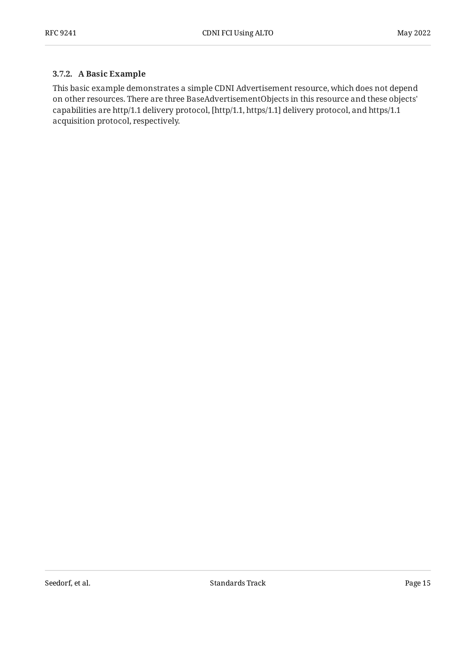#### <span id="page-14-0"></span>**[3.7.2. A Basic Example](#page-14-0)**

This basic example demonstrates a simple CDNI Advertisement resource, which does not depend on other resources. There are three BaseAdvertisementObjects in this resource and these objects' capabilities are http/1.1 delivery protocol, [http/1.1, https/1.1] delivery protocol, and https/1.1 acquisition protocol, respectively.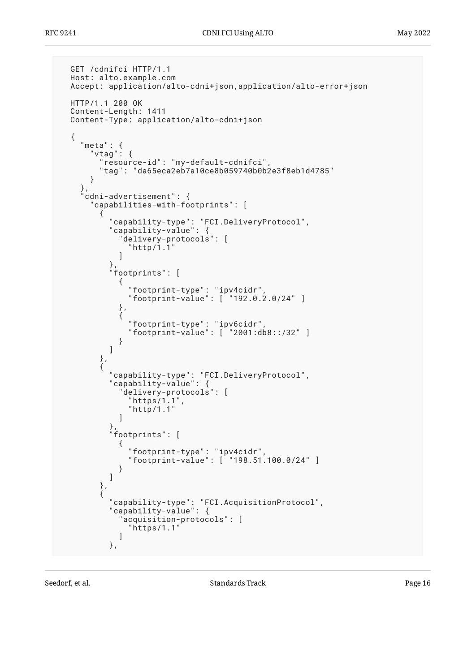```
 GET /cdnifci HTTP/1.1
  Host: alto.example.com
  Accept: application/alto-cdni+json,application/alto-error+json
  HTTP/1.1 200 OK
  Content-Length: 1411
  Content-Type: application/alto-cdni+json
  {
    "meta": {
      "vtag": {
       "resource-id": "my-default-cdnifci",
       "tag": "da65eca2eb7a10ce8b059740b0b2e3f8eb1d4785"
     }
    },
    "cdni-advertisement": {
      "capabilities-with-footprints": [
       {
         "capability-type": "FCI.DeliveryProtocol",
         "capability-value": {
           "delivery-protocols": [
           "http/1.1"
 ]
\},
 "footprints": [
\{ "footprint-type": "ipv4cidr",
 "footprint-value": [ "192.0.2.0/24" ]
           },
\{ "footprint-type": "ipv6cidr",
 "footprint-value": [ "2001:db8::/32" ]
 }
 ]
       },
\{ "capability-type": "FCI.DeliveryProtocol",
 "capability-value": {
           "delivery-protocols": [
            "https/1.1",
           "http/1.1"
 ]
\},
 "footprints": [
\{ "footprint-type": "ipv4cidr",
 "footprint-value": [ "198.51.100.0/24" ]
 }
 ]
       },
\{ "capability-type": "FCI.AcquisitionProtocol",
 "capability-value": {
 "acquisition-protocols": [
 "https/1.1"
\sim 100 \sim 100 \sim 100 \sim 100 \sim 100 \sim },
```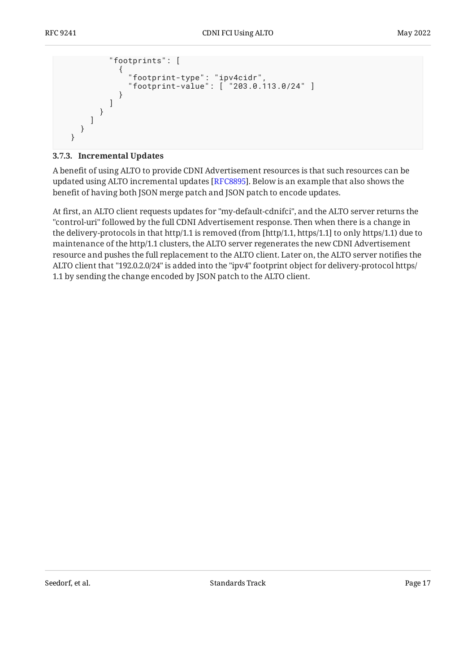```
 "footprints": [
\{ "footprint-type": "ipv4cidr",
            "footprint-value": [ "203.0.113.0/24" ]
 }
 ]
 }
 ]
   }
  }
```
#### <span id="page-16-0"></span>**[3.7.3. Incremental Updates](#page-16-0)**

A benefit of using ALTO to provide CDNI Advertisement resources is that such resources can be updated using ALTO incremental updates [[RFC8895\]](#page-38-7). Below is an example that also shows the benefit of having both JSON merge patch and JSON patch to encode updates.

At first, an ALTO client requests updates for "my-default-cdnifci", and the ALTO server returns the "control-uri" followed by the full CDNI Advertisement response. Then when there is a change in the delivery-protocols in that http/1.1 is removed (from [http/1.1, https/1.1] to only https/1.1) due to maintenance of the http/1.1 clusters, the ALTO server regenerates the new CDNI Advertisement resource and pushes the full replacement to the ALTO client. Later on, the ALTO server notifies the ALTO client that "192.0.2.0/24" is added into the "ipv4" footprint object for delivery-protocol https/ 1.1 by sending the change encoded by JSON patch to the ALTO client.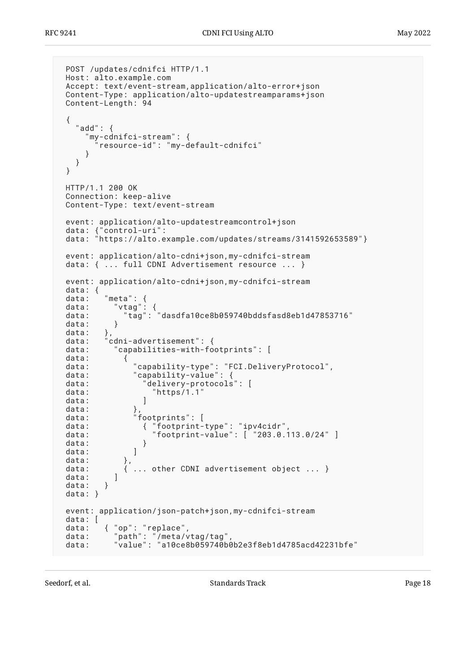```
 POST /updates/cdnifci HTTP/1.1
 Host: alto.example.com
 Accept: text/event-stream,application/alto-error+json
 Content-Type: application/alto-updatestreamparams+json
 Content-Length: 94
 {
   "add": {
      "my-cdnifci-stream": {
        "resource-id": "my-default-cdnifci"
     }
   }
 }
 HTTP/1.1 200 OK
 Connection: keep-alive
 Content-Type: text/event-stream
 event: application/alto-updatestreamcontrol+json
 data: {"control-uri":
 data: "https://alto.example.com/updates/streams/3141592653589"}
 event: application/alto-cdni+json,my-cdnifci-stream
data: { ... full CDNI Advertisement resource ... }
 event: application/alto-cdni+json,my-cdnifci-stream
 data: {
data: "meta":<br>data: "vtag"
 data: "vtag": {
 data: "tag": "dasdfa10ce8b059740bddsfasd8eb1d47853716"
data: }
data:<br>data:
 data: "cdni-advertisement": {
           "capabilities-with-footprints": [
 data: {
 data: "capability-type": "FCI.DeliveryProtocol",
 data: "capability-value": {
data: "delivery-protocols": [
data: "https/1.1"<br>data: 1
data:
data:
data:<br>data: "footprints": [<br>data: { "footprint-
 data: { "footprint-type": "ipv4cidr",
 data: "footprint-value": [ "203.0.113.0/24" ]
 data: }
data: ]
data:<br>data:
              ... other CDNI advertisement object ... }
data: l
data: }
 data: }
 event: application/json-patch+json,my-cdnifci-stream
 data: [
 data: { "op": "replace",
 data: "path": "/meta/vtag/tag",
 data: "value": "a10ce8b059740b0b2e3f8eb1d4785acd42231bfe"
```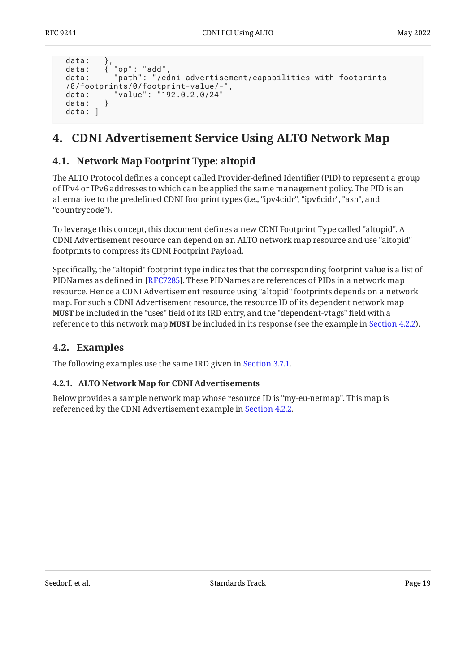```
data:
 data: { "op": "add",
 data: "path": "/cdni-advertisement/capabilities-with-footprints
 /0/footprints/0/footprint-value/-",
          data: "value": "192.0.2.0/24"
data: }
data: 1
```
## <span id="page-18-1"></span><span id="page-18-0"></span>**[4. CDNI Advertisement Service Using ALTO Network Map](#page-18-0)**

### **[4.1. Network Map Footprint Type: altopid](#page-18-1)**

The ALTO Protocol defines a concept called Provider-defined Identifier (PID) to represent a group of IPv4 or IPv6 addresses to which can be applied the same management policy. The PID is an alternative to the predefined CDNI footprint types (i.e., "ipv4cidr", "ipv6cidr", "asn", and "countrycode").

To leverage this concept, this document defines a new CDNI Footprint Type called "altopid". A CDNI Advertisement resource can depend on an ALTO network map resource and use "altopid" footprints to compress its CDNI Footprint Payload.

Specifically, the "altopid" footprint type indicates that the corresponding footprint value is a list of PIDNames as defined in [\[RFC7285\]](#page-38-2). These PIDNames are references of PIDs in a network map resource. Hence a CDNI Advertisement resource using "altopid" footprints depends on a network map. For such a CDNI Advertisement resource, the resource ID of its dependent network map **MUST** be included in the "uses" field of its IRD entry, and the "dependent-vtags" field with a reference to this network map **MUST** be included in its response (see the example in Section 4.2.2**).** 

### <span id="page-18-2"></span>**[4.2. Examples](#page-18-2)**

<span id="page-18-3"></span>The following examples use the same IRD given in [Section 3.7.1](#page-11-1).

#### **[4.2.1. ALTO Network Map for CDNI Advertisements](#page-18-3)**

Below provides a sample network map whose resource ID is "my-eu-netmap". This map is referenced by the CDNI Advertisement example in [Section 4.2.2.](#page-19-0)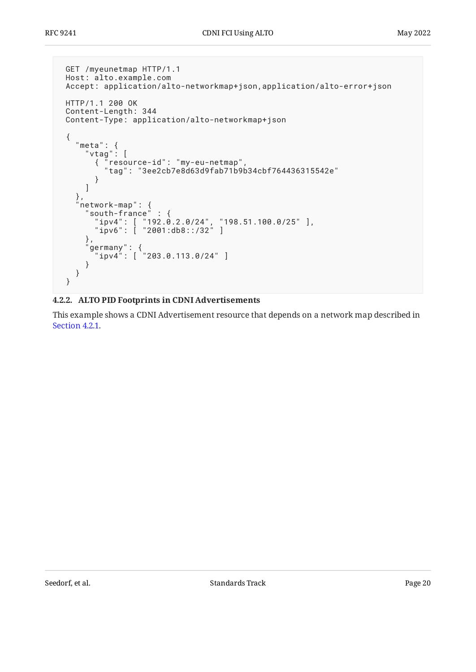```
 GET /myeunetmap HTTP/1.1
 Host: alto.example.com
 Accept: application/alto-networkmap+json,application/alto-error+json
 HTTP/1.1 200 OK
 Content-Length: 344
 Content-Type: application/alto-networkmap+json
 {
 "meta": {
 "vtag": [
 { "resource-id": "my-eu-netmap",
 "tag": "3ee2cb7e8d63d9fab71b9b34cbf764436315542e"
 }
     ]
   },
 "network-map": {
 "south-france" : {
 "ipv4": [ "192.0.2.0/24", "198.51.100.0/25" ],
 "ipv6": [ "2001:db8::/32" ]
    \},
 "germany": {
 "ipv4": [ "203.0.113.0/24" ]
     }
   }
 }
```
#### <span id="page-19-0"></span>**[4.2.2. ALTO PID Footprints in CDNI Advertisements](#page-19-0)**

This example shows a CDNI Advertisement resource that depends on a network map described in [Section 4.2.1.](#page-18-3)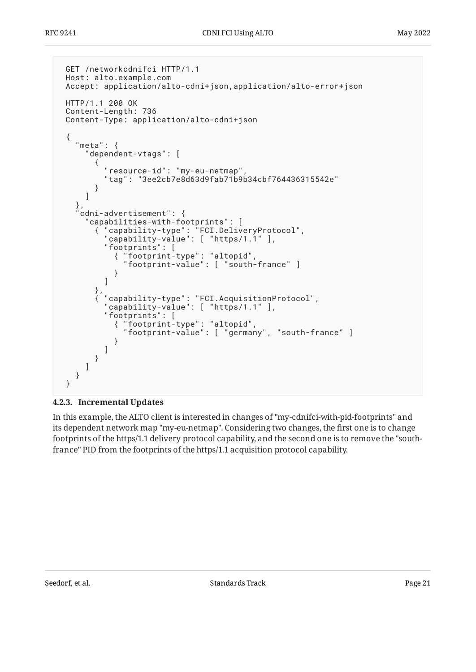```
 GET /networkcdnifci HTTP/1.1
 Host: alto.example.com
 Accept: application/alto-cdni+json,application/alto-error+json
 HTTP/1.1 200 OK
 Content-Length: 736
 Content-Type: application/alto-cdni+json
 {
   "meta": {
      "dependent-vtags": [
\{ "resource-id": "my-eu-netmap",
          "tag": "3ee2cb7e8d63d9fab71b9b34cbf764436315542e"
 }
     ]
    },
   cdni-advertisement": {
      "capabilities-with-footprints": [
       { "capability-type": "FCI.DeliveryProtocol",
         "capability-value": [ "https/1.1" ],
          "footprints": [
           { "footprint-type": "altopid",
             "footprint-value": [ "south-france" ]
 }
 ]
\},
 { "capability-type": "FCI.AcquisitionProtocol",
         "capability-value": [ "https/1.1" ],
          "footprints": [
           { "footprint-type": "altopid",
             "footprint-value": [ "germany", "south-france" ]
 }
 ]
       }
     ]
   }
 }
```
#### <span id="page-20-0"></span>**[4.2.3. Incremental Updates](#page-20-0)**

In this example, the ALTO client is interested in changes of "my-cdnifci-with-pid-footprints" and its dependent network map "my-eu-netmap". Considering two changes, the first one is to change footprints of the https/1.1 delivery protocol capability, and the second one is to remove the "southfrance" PID from the footprints of the https/1.1 acquisition protocol capability.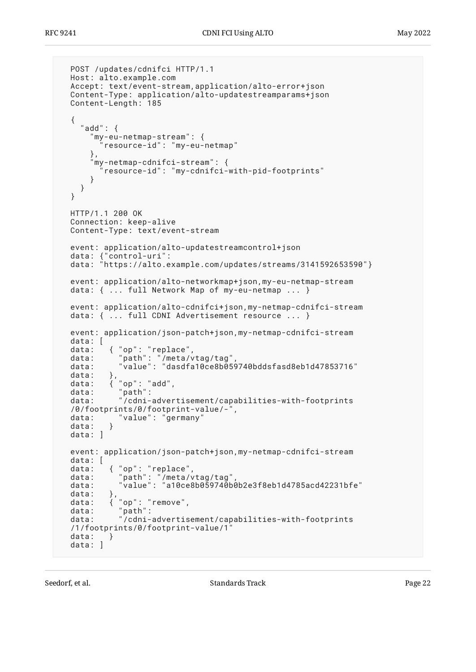```
 POST /updates/cdnifci HTTP/1.1
  Host: alto.example.com
  Accept: text/event-stream,application/alto-error+json
  Content-Type: application/alto-updatestreamparams+json
  Content-Length: 185
  {
    "add": {
       "my-eu-netmap-stream": {
         "resource-id": "my-eu-netmap"
\},
 "my-netmap-cdnifci-stream": {
         "resource-id": "my-cdnifci-with-pid-footprints"
      }
    }
  }
  HTTP/1.1 200 OK
  Connection: keep-alive
  Content-Type: text/event-stream
  event: application/alto-updatestreamcontrol+json
 data: {"control-uri":
 data: "https://alto.example.com/updates/streams/3141592653590"}
  event: application/alto-networkmap+json,my-eu-netmap-stream
  data: { ... full Network Map of my-eu-netmap ... }
  event: application/alto-cdnifci+json,my-netmap-cdnifci-stream
  data: { ... full CDNI Advertisement resource ... }
  event: application/json-patch+json,my-netmap-cdnifci-stream
  data: [
 data: { "op": "replace",
 data: "path": "/meta/vtag/tag",
 data: "value": "dasdfa10ce8b059740bddsfasd8eb1d47853716"
 data:
 data: { "op": "add",
 data: "path":
  data: "/cdni-advertisement/capabilities-with-footprints
 /0/footprints/0/footprint-value/-",<br>data: "value": "germany"
         \qquad "value": "germany"<br>}
 data: }
 data: ]
  event: application/json-patch+json,my-netmap-cdnifci-stream
 data: [<br>data:
 data: { "op": "replace",
 data: "path": "/meta/vtag/tag",
 data: "value": "a10ce8b059740b0b2e3f8eb1d4785acd42231bfe"
 data:
 data: { "op": "remove",
 data: "path":
  data: "/cdni-advertisement/capabilities-with-footprints
  /1/footprints/0/footprint-value/1"
 data: }
  data: ]
```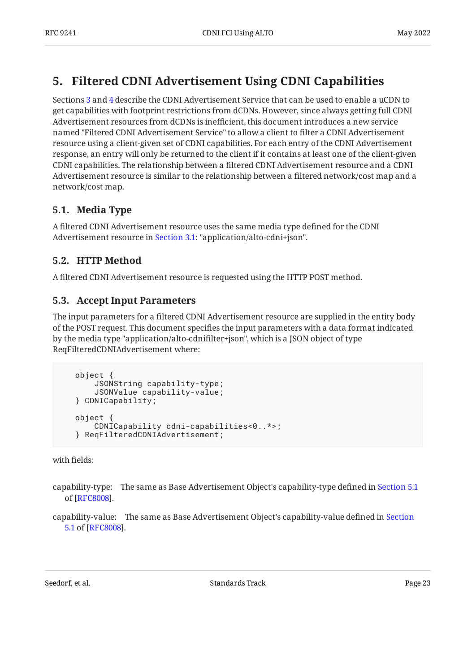## <span id="page-22-0"></span>**[5. Filtered CDNI Advertisement Using CDNI Capabilities](#page-22-0)**

Sections [3](#page-7-0) and [4](#page-18-0) describe the CDNI Advertisement Service that can be used to enable a uCDN to get capabilities with footprint restrictions from dCDNs. However, since always getting full CDNI Advertisement resources from dCDNs is inefficient, this document introduces a new service named "Filtered CDNI Advertisement Service" to allow a client to filter a CDNI Advertisement resource using a client-given set of CDNI capabilities. For each entry of the CDNI Advertisement response, an entry will only be returned to the client if it contains at least one of the client-given CDNI capabilities. The relationship between a filtered CDNI Advertisement resource and a CDNI Advertisement resource is similar to the relationship between a filtered network/cost map and a network/cost map.

## <span id="page-22-1"></span>**[5.1. Media Type](#page-22-1)**

A filtered CDNI Advertisement resource uses the same media type defined for the CDNI Advertisement resource in [Section 3.1](#page-7-1): "application/alto-cdni+json".

## <span id="page-22-2"></span>**[5.2. HTTP Method](#page-22-2)**

<span id="page-22-3"></span>A filtered CDNI Advertisement resource is requested using the HTTP POST method.

## **[5.3. Accept Input Parameters](#page-22-3)**

The input parameters for a filtered CDNI Advertisement resource are supplied in the entity body of the POST request. This document specifies the input parameters with a data format indicated by the media type "application/alto-cdnifilter+json", which is a JSON object of type ReqFilteredCDNIAdvertisement where:

```
 object {
     JSONString capability-type;
     JSONValue capability-value;
 } CDNICapability;
 object {
     CDNICapability cdni-capabilities<0..*>;
 } ReqFilteredCDNIAdvertisement;
```
with fields:

capability-type: The same as Base Advertisement Object's capability-type defined in [Section 5.1](https://www.rfc-editor.org/rfc/rfc8008#section-5.1) . of [[RFC8008\]](#page-38-1)

capability-value: The same as Base Advertisement Object's capability-value defined in [Section](https://www.rfc-editor.org/rfc/rfc8008#section-5.1) . [5.1](https://www.rfc-editor.org/rfc/rfc8008#section-5.1) of [[RFC8008\]](#page-38-1)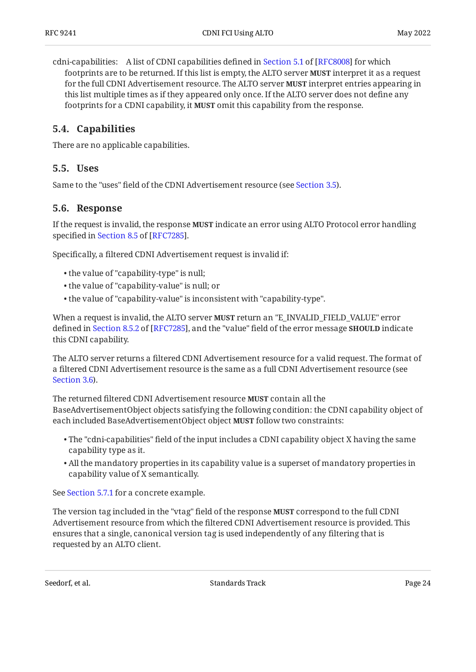cdni-capabilities:A list of CDNI capabilities defined in Section 5.1 of [RFC8008] for which footprints are to be returned. If this list is empty, the ALTO server **MUST** interpret it as a request for the full CDNI Advertisement resource. The ALTO server **MUST** interpret entries appearing in this list multiple times as if they appeared only once. If the ALTO server does not define any footprints for a CDNI capability, it **MUST** omit this capability from the response.

### <span id="page-23-0"></span>**[5.4. Capabilities](#page-23-0)**

<span id="page-23-1"></span>There are no applicable capabilities.

#### **[5.5. Uses](#page-23-1)**

<span id="page-23-2"></span>Same to the "uses" field of the CDNI Advertisement resource (see [Section 3.5](#page-8-0)).

#### **[5.6. Response](#page-23-2)**

If the request is invalid, the response **MUST** indicate an error using ALTO Protocol error handling specifiedin Section 8.5 of [RFC7285].

Specifically, a filtered CDNI Advertisement request is invalid if:

- the value of "capability-type" is null; •
- the value of "capability-value" is null; or •
- the value of "capability-value" is inconsistent with "capability-type". •

When a request is invalid, the ALTO server **MUST** return an "E\_INVALID\_FIELD\_VALUE" error definedin Section 8.5.2 of [RFC7285], and the "value" field of the error message **SHOULD** indicate this CDNI capability.

The ALTO server returns a filtered CDNI Advertisement resource for a valid request. The format of a filtered CDNI Advertisement resource is the same as a full CDNI Advertisement resource (see [Section 3.6](#page-8-1)).

The returned filtered CDNI Advertisement resource **MUST** contain all the BaseAdvertisementObject objects satisfying the following condition: the CDNI capability object of each included BaseAdvertisementObject object **MUST** follow two constraints:

- $\bullet$  The "cdni-capabilities" field of the input includes a CDNI capability object X having the same capability type as it.
- $\bullet$  All the mandatory properties in its capability value is a superset of mandatory properties in capability value of X semantically.

See [Section 5.7.1](#page-24-1) for a concrete example.

The version tag included in the "vtag" field of the response **MUST** correspond to the full CDNI Advertisement resource from which the filtered CDNI Advertisement resource is provided. This ensures that a single, canonical version tag is used independently of any filtering that is requested by an ALTO client.

Seedorf, et al. Note as a standard between the Standards Track Page 24 and 24 and 24 and 25 and 26 and 26 and 26 and 26 and 27 and 27 and 27 and 27 and 27 and 27 and 27 and 27 and 27 and 27 and 27 and 27 and 27 and 27 and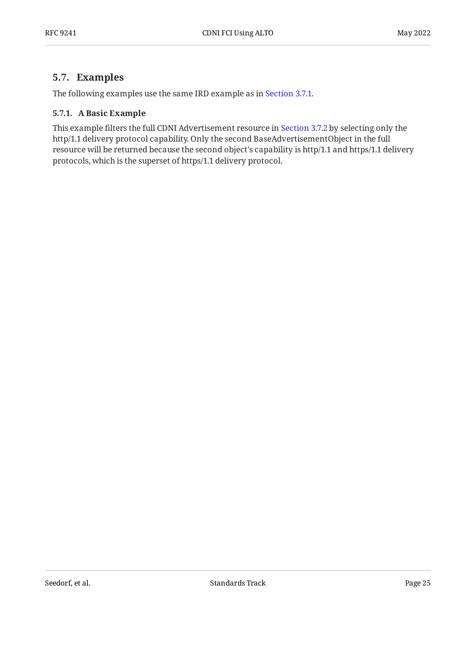### <span id="page-24-0"></span>**[5.7. Examples](#page-24-0)**

<span id="page-24-1"></span>The following examples use the same IRD example as in [Section 3.7.1.](#page-11-1)

#### **[5.7.1. A Basic Example](#page-24-1)**

This example filters the full CDNI Advertisement resource in [Section 3.7.2](#page-14-0) by selecting only the http/1.1 delivery protocol capability. Only the second BaseAdvertisementObject in the full resource will be returned because the second object's capability is http/1.1 and https/1.1 delivery protocols, which is the superset of https/1.1 delivery protocol.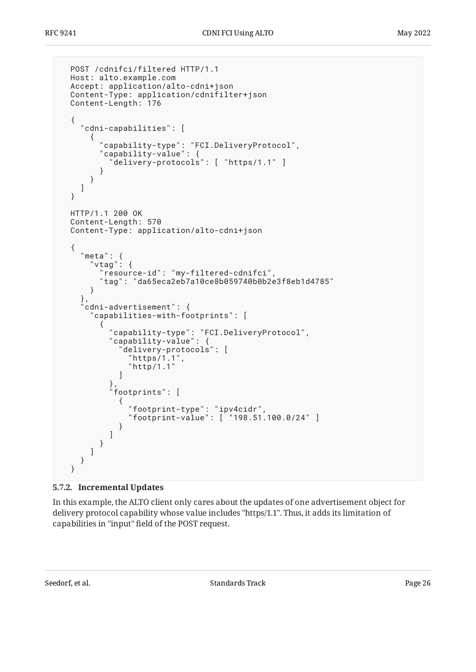```
 POST /cdnifci/filtered HTTP/1.1
  Host: alto.example.com
  Accept: application/alto-cdni+json
  Content-Type: application/cdnifilter+json
  Content-Length: 176
  {
    "cdni-capabilities": [
      {
        "capability-type": "FCI.DeliveryProtocol",
        "capability-value": {
          "delivery-protocols": [ "https/1.1" ]
        }
      }
    ]
  }
  HTTP/1.1 200 OK
  Content-Length: 570
  Content-Type: application/alto-cdni+json
 \{ "meta": {
 "vtag": {
        "resource-id": "my-filtered-cdnifci",
        "tag": "da65eca2eb7a10ce8b059740b0b2e3f8eb1d4785"
      }
 },
 "cdni-advertisement": {
      "capabilities-with-footprints": [
\{ "capability-type": "FCI.DeliveryProtocol",
 "capability-value": {
            "delivery-protocols": [
             "https/1.1",
            "http/1.1"
 ]
\},
 "footprints": [
\{ "footprint-type": "ipv4cidr",
              "footprint-value": [ "198.51.100.0/24" ]
 }
          ]
        }
      ]
    }
  }
```
#### <span id="page-25-0"></span>**[5.7.2. Incremental Updates](#page-25-0)**

In this example, the ALTO client only cares about the updates of one advertisement object for delivery protocol capability whose value includes "https/1.1". Thus, it adds its limitation of capabilities in "input" field of the POST request.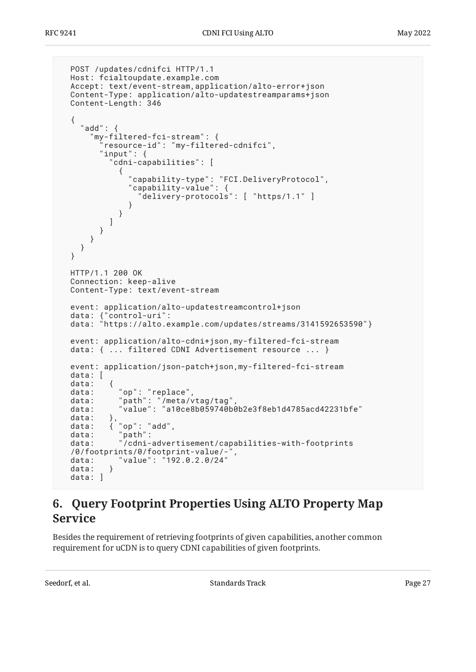```
 POST /updates/cdnifci HTTP/1.1
  Host: fcialtoupdate.example.com
  Accept: text/event-stream,application/alto-error+json
  Content-Type: application/alto-updatestreamparams+json
  Content-Length: 346
  {
    "add": {
      "my-filtered-fci-stream": {
        "resource-id": "my-filtered-cdnifci",
        "input": {
           "cdni-capabilities": [
\{ "capability-type": "FCI.DeliveryProtocol",
 "capability-value": {
                "delivery-protocols": [ "https/1.1" ]
 }
 }
          ]
        }
      }
    }
  }
  HTTP/1.1 200 OK
  Connection: keep-alive
  Content-Type: text/event-stream
  event: application/alto-updatestreamcontrol+json
  data: {"control-uri":
  data: "https://alto.example.com/updates/streams/3141592653590"}
  event: application/alto-cdni+json,my-filtered-fci-stream
  data: { ... filtered CDNI Advertisement resource ... }
  event: application/json-patch+json,my-filtered-fci-stream
  data: [
  data: {
 data: "op": "replace",
 data: "path": "/meta/vtag/tag",
 data: "value": "a10ce8b059740b0b2e3f8eb1d4785acd42231bfe"
 data:<br>data:
         },<br>{ "op": "add",
  data: "path":
  data: "/cdni-advertisement/capabilities-with-footprints
 /0/footprints/0/footprint-value/-
 data: "value": "192.0.2.0/24"
 data: }
  data: ]
```
## <span id="page-26-0"></span>**[6. Query Footprint Properties Using ALTO Property Map](#page-26-0) [Service](#page-26-0)**

Besides the requirement of retrieving footprints of given capabilities, another common requirement for uCDN is to query CDNI capabilities of given footprints.

Seedorf, et al. The contract contract the Standards Track Page 27 (27) 2014 12:38:39 Page 27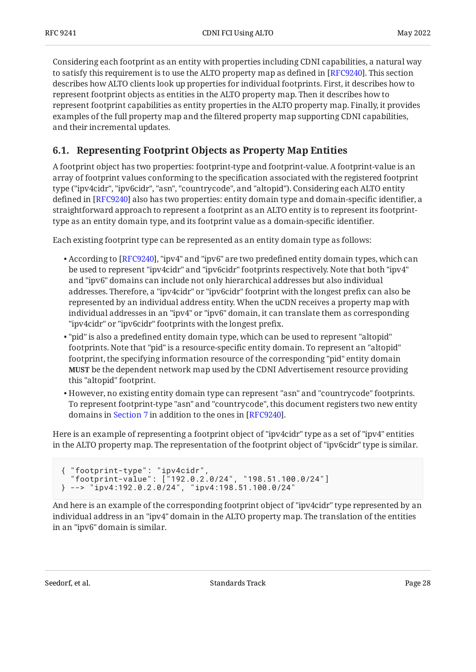Considering each footprint as an entity with properties including CDNI capabilities, a natural way to satisfy this requirement is to use the ALTO property map as defined in [RFC9240]. This section describes how ALTO clients look up properties for individual footprints. First, it describes how to represent footprint objects as entities in the ALTO property map. Then it describes how to represent footprint capabilities as entity properties in the ALTO property map. Finally, it provides examples of the full property map and the filtered property map supporting CDNI capabilities, and their incremental updates.

## <span id="page-27-0"></span>**[6.1. Representing Footprint Objects as Property Map Entities](#page-27-0)**

A footprint object has two properties: footprint-type and footprint-value. A footprint-value is an array of footprint values conforming to the specification associated with the registered footprint type ("ipv4cidr", "ipv6cidr", "asn", "countrycode", and "altopid"). Considering each ALTO entity defined in [RFC9240] also has two properties: entity domain type and domain-specific identifier, a straightforward approach to represent a footprint as an ALTO entity is to represent its footprinttype as an entity domain type, and its footprint value as a domain-specific identifier.

Each existing footprint type can be represented as an entity domain type as follows:

- $\bullet$  According to [RFC9240], "ipv4" and "ipv6" are two predefined entity domain types, which can be used to represent "ipv4cidr" and "ipv6cidr" footprints respectively. Note that both "ipv4" and "ipv6" domains can include not only hierarchical addresses but also individual addresses. Therefore, a "ipv4cidr" or "ipv6cidr" footprint with the longest prefix can also be represented by an individual address entity. When the uCDN receives a property map with individual addresses in an "ipv4" or "ipv6" domain, it can translate them as corresponding "ipv4cidr" or "ipv6cidr" footprints with the longest prefix.
- "pid" is also a predefined entity domain type, which can be used to represent "altopid" footprints. Note that "pid" is a resource-specific entity domain. To represent an "altopid" footprint, the specifying information resource of the corresponding "pid" entity domain **MUST** be the dependent network map used by the CDNI Advertisement resource providing this "altopid" footprint.
- $\bullet$  However, no existing entity domain type can represent "asn" and "countrycode" footprints. To represent footprint-type "asn" and "countrycode", this document registers two new entity domains in [Section 7](#page-33-0) in addition to the ones in [RFC9240].  $\,$

Here is an example of representing a footprint object of "ipv4cidr" type as a set of "ipv4" entities in the ALTO property map. The representation of the footprint object of "ipv6cidr" type is similar.

```
{ "footprint-type": "ipv4cidr",
   "footprint-value": ["192.0.2.0/24", "198.51.100.0/24"]
      } --> "ipv4:192.0.2.0/24", "ipv4:198.51.100.0/24"
```
And here is an example of the corresponding footprint object of "ipv4cidr" type represented by an individual address in an "ipv4" domain in the ALTO property map. The translation of the entities in an "ipv6" domain is similar.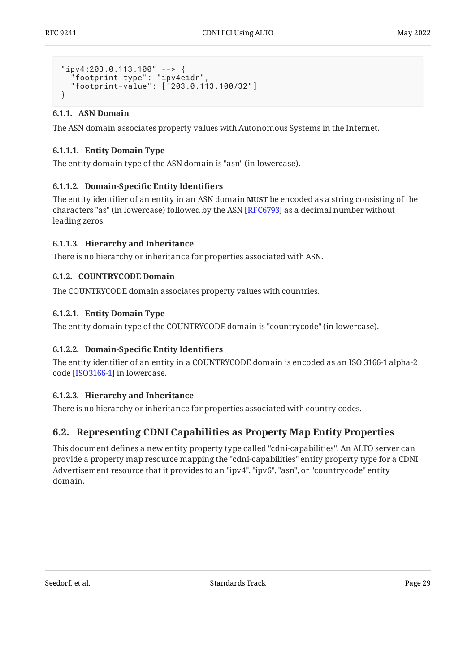```
"ipv4:203.0.113.100" --> {
 "footprint-type": "ipv4cidr",
   "footprint-value": ["203.0.113.100/32"]
}
```
#### <span id="page-28-0"></span>**[6.1.1. ASN Domain](#page-28-0)**

The ASN domain associates property values with Autonomous Systems in the Internet.

#### <span id="page-28-3"></span>**[6.1.1.1. Entity Domain Type](#page-28-3)**

The entity domain type of the ASN domain is "asn" (in lowercase).

#### <span id="page-28-4"></span>**[6.1.1.2.](#page-28-4) Domain-Specifi[c Entity Identi](#page-28-4)fiers**

The entity identifier of an entity in an ASN domain **MUST** be encoded as a string consisting of the characters "as" (in lowercase) followed by the ASN [RFC6793] as a decimal number without leading zeros.

#### <span id="page-28-5"></span>**[6.1.1.3. Hierarchy and Inheritance](#page-28-5)**

<span id="page-28-1"></span>There is no hierarchy or inheritance for properties associated with ASN.

#### **[6.1.2. COUNTRYCODE Domain](#page-28-1)**

The COUNTRYCODE domain associates property values with countries.

#### <span id="page-28-6"></span>**[6.1.2.1. Entity Domain Type](#page-28-6)**

The entity domain type of the COUNTRYCODE domain is "countrycode" (in lowercase).

#### <span id="page-28-7"></span>**[6.1.2.2.](#page-28-7) Domain-Specifi[c Entity Identi](#page-28-7)fiers**

The entity identifier of an entity in a COUNTRYCODE domain is encoded as an ISO 3166-1 alpha-2 code [\[ISO3166-1](#page-37-3)] in lowercase.

#### <span id="page-28-8"></span>**[6.1.2.3. Hierarchy and Inheritance](#page-28-8)**

<span id="page-28-2"></span>There is no hierarchy or inheritance for properties associated with country codes.

### **[6.2. Representing CDNI Capabilities as Property Map Entity Properties](#page-28-2)**

This document defines a new entity property type called "cdni-capabilities". An ALTO server can provide a property map resource mapping the "cdni-capabilities" entity property type for a CDNI Advertisement resource that it provides to an "ipv4", "ipv6", "asn", or "countrycode" entity domain.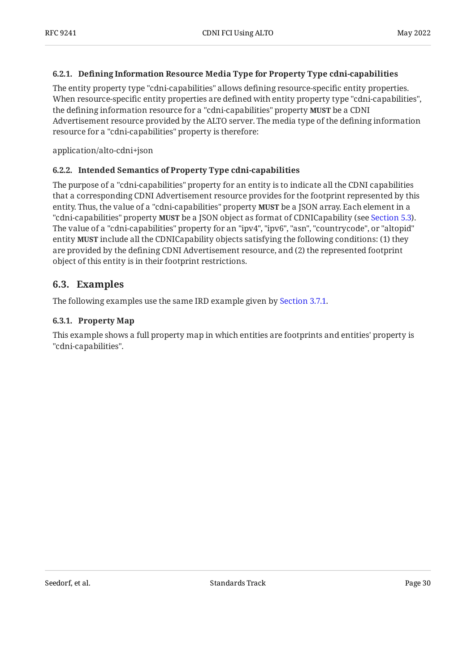#### <span id="page-29-0"></span>**[6.2.1. D](#page-29-0)efi[ning Information Resource Media Type for Property Type cdni-capabilities](#page-29-0)**

The entity property type "cdni-capabilities" allows defining resource-specific entity properties. When resource-specific entity properties are defined with entity property type "cdni-capabilities", the defining information resource for a "cdni-capabilities" property **MUST** be a CDNI Advertisement resource provided by the ALTO server. The media type of the defining information resource for a "cdni-capabilities" property is therefore:

<span id="page-29-1"></span>application/alto-cdni+json

#### **[6.2.2. Intended Semantics of Property Type cdni-capabilities](#page-29-1)**

The purpose of a "cdni-capabilities" property for an entity is to indicate all the CDNI capabilities that a corresponding CDNI Advertisement resource provides for the footprint represented by this entity. Thus, the value of a "cdni-capabilities" property **MUST** be a JSON array. Each element in a "cdni-capabilities" property **MUST** be a JSON object as format of CDNICapability (see [Section 5.3](#page-22-3)**)**. The value of a "cdni-capabilities" property for an "ipv4", "ipv6", "asn", "countrycode", or "altopid" entity **MUST** include all the CDNICapability objects satisfying the following conditions: (1) they are provided by the defining CDNI Advertisement resource, and (2) the represented footprint object of this entity is in their footprint restrictions.

#### <span id="page-29-2"></span>**[6.3. Examples](#page-29-2)**

<span id="page-29-3"></span>The following examples use the same IRD example given by [Section 3.7.1.](#page-11-1)

#### **[6.3.1. Property Map](#page-29-3)**

This example shows a full property map in which entities are footprints and entities' property is "cdni-capabilities".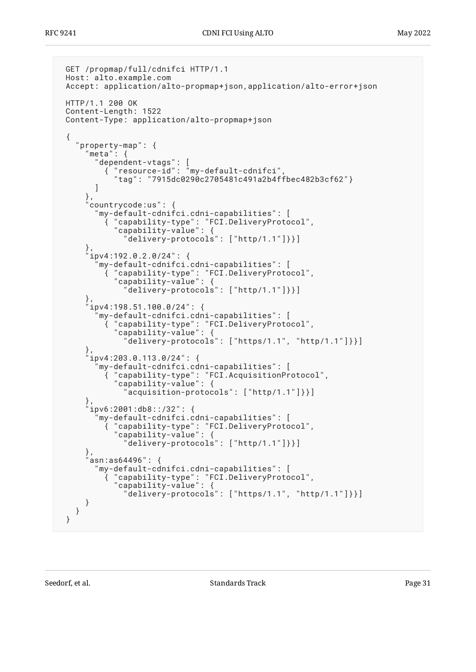```
 GET /propmap/full/cdnifci HTTP/1.1
 Host: alto.example.com
 Accept: application/alto-propmap+json,application/alto-error+json
 HTTP/1.1 200 OK
 Content-Length: 1522
 Content-Type: application/alto-propmap+json
  {
   "property-map": {
     "meta": {<br>"dependent-vtags":
 "dependent-vtags": [
 { "resource-id": "my-default-cdnifci",
 "tag": "7915dc0290c2705481c491a2b4ffbec482b3cf62"}
 ]
      },
      "countrycode:us": {
        "my-default-cdnifci.cdni-capabilities": [
         { "capability-type": "FCI.DeliveryProtocol",
           "capability-value": {
             "delivery-protocols": ["http/1.1"]}}]
\},
 "ipv4:192.0.2.0/24": {
        "my-default-cdnifci.cdni-capabilities": [
 { "capability-type": "FCI.DeliveryProtocol",
 "capability-value": {
             "delivery-protocols": ["http/1.1"]}}]
 },
 "ipv4:198.51.100.0/24": {
        "my-default-cdnifci.cdni-capabilities": [
         { "capability-type": "FCI.DeliveryProtocol",
           "capability-value": {
            "delivery-protocols" : ['https/1.1", "http/1.1"]}
 },
 "ipv4:203.0.113.0/24": {
        "my-default-cdnifci.cdni-capabilities": [
 { "capability-type": "FCI.AcquisitionProtocol",
 "capability-value": {
              "acquisition-protocols": ["http/1.1"]}}]
      },
      "ipv6:2001:db8::/32": {
        "my-default-cdnifci.cdni-capabilities": [
 { "capability-type": "FCI.DeliveryProtocol",
 "capability-value": {
              "delivery-protocols": ["http/1.1"]}}]
      },
     asn:as64496": {
        "my-default-cdnifci.cdni-capabilities": [
         { "capability-type": "FCI.DeliveryProtocol",
           "capability-value": {
             "delivery-protocols": ["https/1.1", "http/1.1"]}}]
     }
   }
 }
```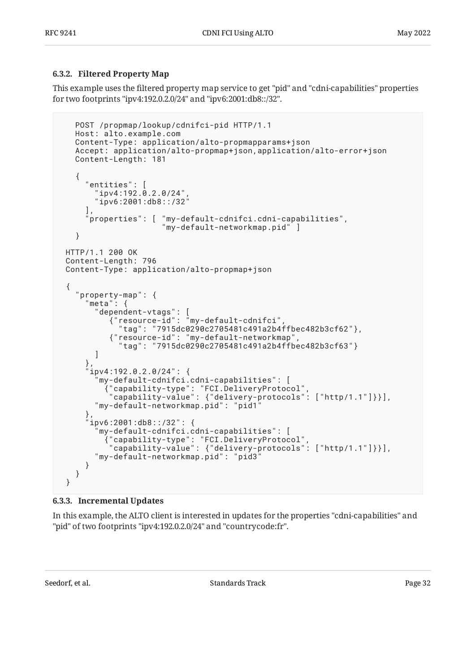#### <span id="page-31-0"></span>**[6.3.2. Filtered Property Map](#page-31-0)**

This example uses the filtered property map service to get "pid" and "cdni-capabilities" properties for two footprints "ipv4:192.0.2.0/24" and "ipv6:2001:db8::/32".

```
 POST /propmap/lookup/cdnifci-pid HTTP/1.1
   Host: alto.example.com
   Content-Type: application/alto-propmapparams+json
   Accept: application/alto-propmap+json,application/alto-error+json
   Content-Length: 181
   {
     "entities": [
      "ipv4:192.0.2.0/24"
        "ipv6:2001:db8::/32"
     ],
 "properties": [ "my-default-cdnifci.cdni-capabilities",
 "my-default-networkmap.pid" ]
   }
 HTTP/1.1 200 OK
 Content-Length: 796
 Content-Type: application/alto-propmap+json
  {
   "property-map": {
      "meta": {
 "dependent-vtags": [
 {"resource-id": "my-default-cdnifci",
 "tag": "7915dc0290c2705481c491a2b4ffbec482b3cf62"},
          {"resource-id": "my-default-networkmap",
            "tag": "7915dc0290c2705481c491a2b4ffbec482b3cf63"}
       ]
\},
 "ipv4:192.0.2.0/24": {
        "my-default-cdnifci.cdni-capabilities": [
 {"capability-type": "FCI.DeliveryProtocol",
 "capability-value": {"delivery-protocols": ["http/1.1"]}}],
       "my-default-networkmap.pid": "pid1"
\},
 "ipv6:2001:db8::/32": {
        "my-default-cdnifci.cdni-capabilities": [
 {"capability-type": "FCI.DeliveryProtocol",
 "capability-value": {"delivery-protocols": ["http/1.1"]}}],
       "my-default-networkmap.pid": "pid3"
     }
   }
 }
```
#### <span id="page-31-1"></span>**[6.3.3. Incremental Updates](#page-31-1)**

In this example, the ALTO client is interested in updates for the properties "cdni-capabilities" and "pid" of two footprints "ipv4:192.0.2.0/24" and "countrycode:fr".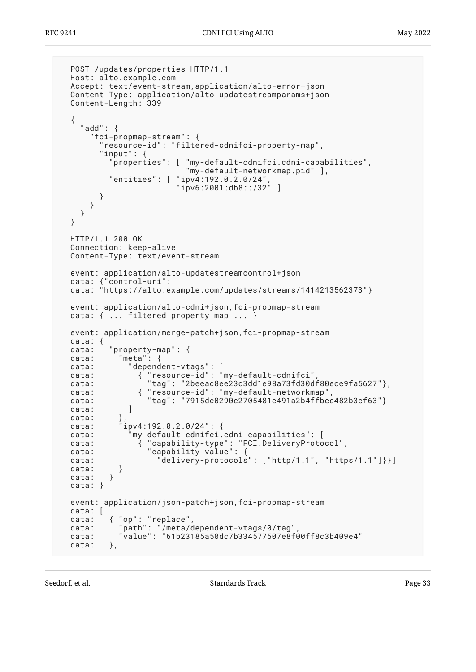```
 POST /updates/properties HTTP/1.1
  Host: alto.example.com
  Accept: text/event-stream,application/alto-error+json
  Content-Type: application/alto-updatestreamparams+json
  Content-Length: 339
  {
    "add": {
       "fci-propmap-stream": {
        "resource-id": "filtered-cdnifci-property-map",
         "input": {
           "properties": [ "my-default-cdnifci.cdni-capabilities",
                           "my-default-networkmap.pid" ],
           "entities": [ "ipv4:192.0.2.0/24",
                        "ipvi: 2001:db8::/32" }
      }
    }
  }
  HTTP/1.1 200 OK
  Connection: keep-alive
  Content-Type: text/event-stream
  event: application/alto-updatestreamcontrol+json
 data: {"control-uri":
 data: "https://alto.example.com/updates/streams/1414213562373"}
  event: application/alto-cdni+json,fci-propmap-stream
 data: \{ \ldots \} filtered property map ...
  event: application/merge-patch+json,fci-propmap-stream
  data: {
          "property-map" : data: "meta": {
 data: "dependent-vtags": [
 data: { "resource-id": "my-default-cdnifci",
 data: { "resource-id . my-uerault cunities",<br>data: "tag": "2beeac8ee23c3dd1e98a73fd30df80ece9fa5627"},
  data: { "resource-id": "my-default-networkmap",
  data: "tag": "7915dc0290c2705481c491a2b4ffbec482b3cf63"}
 data: ]
 data:<br>data:
             data: "ipv4:192.0.2.0/24": {
  data: "my-default-cdnifci.cdni-capabilities": [
 data: { "capability-type": "FCI.DeliveryProtocol",
 data: "capability-value": {
 data: "delivery-protocols": ["http/1.1", "https/1.1"]}}]
 data: }
 data: }
  data: }
  event: application/json-patch+json,fci-propmap-stream
  data: [
 data: { "op": "replace",
 data: "path": "/meta/dependent-vtags/0/tag",
 data: "value": "61b23185a50dc7b334577507e8f00ff8c3b409e4"
 data: },
```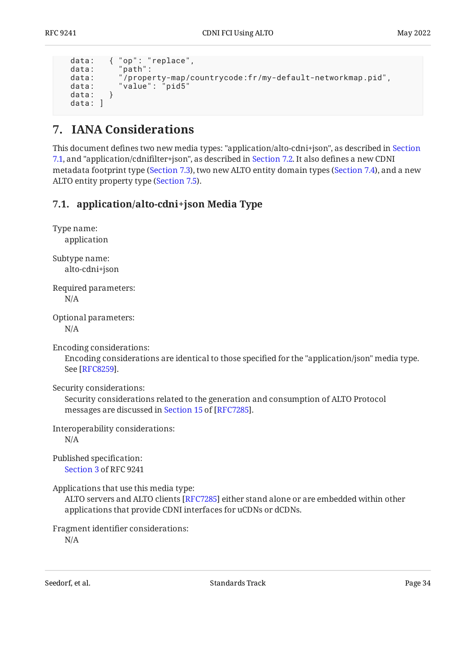```
 data: { "op": "replace",
 data: "path":
 data: "/property-map/countrycode:fr/my-default-networkmap.pid",
 data: "value": "pid5"<br>data: }
 data:
  data: ]
```
## <span id="page-33-0"></span>**[7. IANA Considerations](#page-33-0)**

This document defines two new media types: "application/alto-cdni+json", as described in [Section](#page-33-1) [7.1,](#page-33-1) and "application/cdnifilter+json", as described in [Section 7.2.](#page-34-0) It also defines a new CDNI metadata footprint type [\(Section 7.3](#page-35-0)), two new ALTO entity domain types [\(Section 7.4](#page-35-1)), and a new ALTO entity property type ([Section 7.5\)](#page-36-0).

## <span id="page-33-1"></span>**[7.1. application/alto-cdni+json Media Type](#page-33-1)**

| Type name:<br>application                                                                                                                                                                          |
|----------------------------------------------------------------------------------------------------------------------------------------------------------------------------------------------------|
| Subtype name:<br>alto-cdni+json                                                                                                                                                                    |
| Required parameters:<br>N/A                                                                                                                                                                        |
| Optional parameters:<br>N/A                                                                                                                                                                        |
| Encoding considerations:<br>Encoding considerations are identical to those specified for the "application/json" media type.<br>See [RFC8259].                                                      |
| Security considerations:<br>Security considerations related to the generation and consumption of ALTO Protocol<br>messages are discussed in Section 15 of [RFC7285].                               |
| Interoperability considerations:<br>N/A                                                                                                                                                            |
| Published specification:<br>Section 3 of RFC 9241                                                                                                                                                  |
| Applications that use this media type:<br>ALTO servers and ALTO clients [RFC7285] either stand alone or are embedded within other<br>applications that provide CDNI interfaces for uCDNs or dCDNs. |
| Fragment identifier considerations:                                                                                                                                                                |

N/A

Seedorf, et al. Note as a standard behavior of the Standards Track Page 34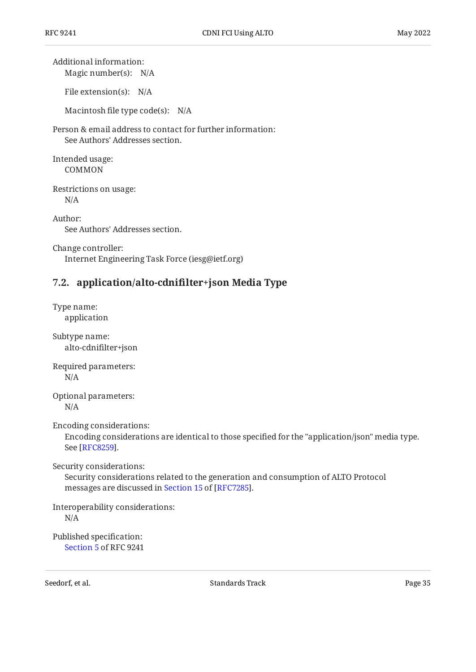Magic number(s): N/A Additional information:

File extension(s): N/A

Macintosh file type code(s): N/A

Person & email address to contact for further information: See Authors' Addresses section.

Intended usage: COMMON

Restrictions on usage: N/A

Author: See Authors' Addresses section.

Change controller: Internet Engineering Task Force (iesg@ietf.org)

## <span id="page-34-0"></span>**[7.2. application/alto-cdni](#page-34-0)filter+json Media Type**

Type name: application Subtype name: alto-cdnifilter+json Required parameters: N/A Optional parameters:

N/A

Encoding considerations:

Encoding considerations are identical to those specified for the "application/json" media type. See [[RFC8259\]](#page-38-9).

Security considerations:

Security considerations related to the generation and consumption of ALTO Protocol messagesare discussed in Section 15 of [RFC7285].

Interoperability considerations:

N/A

Published specification: [Section 5](#page-22-0) of RFC 9241

Seedorf, et al. Note as a standard between the Standards Track Page 35 and  $\alpha$  Page 35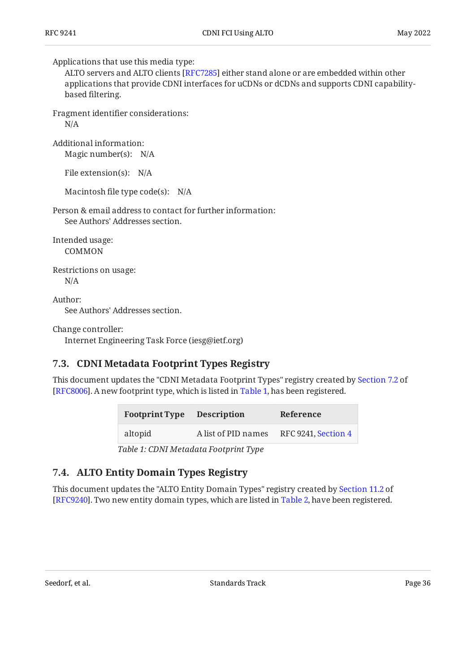Applications that use this media type:

ALTO servers and ALTO clients [[RFC7285\]](#page-38-2) either stand alone or are embedded within other applications that provide CDNI interfaces for uCDNs or dCDNs and supports CDNI capabilitybased filtering.

Fragment identifier considerations:

N/A

Magic number(s): N/A Additional information:

File extension(s): N/A

Macintosh file type code(s): N/A

Person & email address to contact for further information: See Authors' Addresses section.

Intended usage:

COMMON

Restrictions on usage: N/A

Author:

See Authors' Addresses section.

Change controller:

<span id="page-35-0"></span>Internet Engineering Task Force (iesg@ietf.org)

## **[7.3. CDNI Metadata Footprint Types Registry](#page-35-0)**

<span id="page-35-2"></span>This document updates the "CDNI Metadata Footprint Types" registry created by [Section 7.2](https://www.rfc-editor.org/rfc/rfc8006#section-7.2) of [RFC8006]. A new footprint type, which is listed in [Table 1,](#page-35-2) has been registered.

<span id="page-35-3"></span>

| <b>Footprint Type</b> | <b>Description</b>                    | Reference           |
|-----------------------|---------------------------------------|---------------------|
| altopid               | A list of PID names                   | RFC 9241, Section 4 |
|                       | Table 1: CDNI Metadata Footprint Type |                     |

*[Table 1](#page-35-3): [CDNI Metadata Footprint Type](#page-35-2)* 

### <span id="page-35-1"></span>**[7.4. ALTO Entity Domain Types Registry](#page-35-1)**

<span id="page-35-4"></span>This document updates the "ALTO Entity Domain Types" registry created by [Section 11.2](https://www.rfc-editor.org/rfc/rfc9240#section-11.2) of [RFC9240]. Two new entity domain types, which are listed in [Table 2,](#page-36-2) have been registered.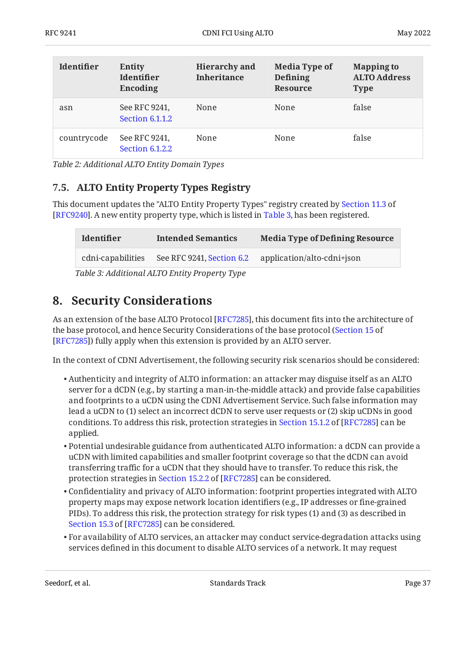<span id="page-36-2"></span>

| <b>Identifier</b> | <b>Entity</b><br><b>Identifier</b><br>Encoding | <b>Hierarchy</b> and<br><b>Inheritance</b> | <b>Media Type of</b><br>Defining<br><b>Resource</b> | <b>Mapping to</b><br><b>ALTO Address</b><br><b>Type</b> |
|-------------------|------------------------------------------------|--------------------------------------------|-----------------------------------------------------|---------------------------------------------------------|
| asn               | See RFC 9241,<br>Section 6.1.1.2               | None                                       | None                                                | false                                                   |
| countrycode       | See RFC 9241,<br>Section 6.1.2.2               | None                                       | None                                                | false                                                   |

<span id="page-36-0"></span>*[Table 2:](#page-36-2) [Additional ALTO Entity Domain Types](#page-35-4)* 

## **[7.5. ALTO Entity Property Types Registry](#page-36-0)**

This document updates the "ALTO Entity Property Types" registry created by [Section 11.3](https://www.rfc-editor.org/rfc/rfc9240#section-11.3) of [RFC9240]. A new entity property type, which is listed in [Table 3,](#page-36-3) has been registered.

<span id="page-36-4"></span><span id="page-36-3"></span>

| <b>Identifier</b> | <b>Intended Semantics</b>                     | <b>Media Type of Defining Resource</b> |
|-------------------|-----------------------------------------------|----------------------------------------|
| cdni-capabilities | See RFC 9241, Section 6.2                     | application/alto-cdni+json             |
|                   | Table 3: Additional ALTO Entity Property Type |                                        |

## <span id="page-36-1"></span>**[8. Security Considerations](#page-36-1)**

As an extension of the base ALTO Protocol [\[RFC7285](#page-38-2)], this document fits into the architecture of the base protocol, and hence Security Considerations of the base protocol ( [Section 15](https://www.rfc-editor.org/rfc/rfc7285#section-15) of [[RFC7285\]](#page-38-2)) fully apply when this extension is provided by an ALTO server.

In the context of CDNI Advertisement, the following security risk scenarios should be considered:

- $\bullet$  Authenticity and integrity of ALTO information: an attacker may disguise itself as an ALTO server for a dCDN (e.g., by starting a man-in-the-middle attack) and provide false capabilities and footprints to a uCDN using the CDNI Advertisement Service. Such false information may lead a uCDN to (1) select an incorrect dCDN to serve user requests or (2) skip uCDNs in good conditions.To address this risk, protection strategies in Section 15.1.2 of [RFC7285] can be applied.
- $\bullet$  Potential undesirable guidance from authenticated ALTO information: a dCDN can provide a uCDN with limited capabilities and smaller footprint coverage so that the dCDN can avoid transferring traffic for a uCDN that they should have to transfer. To reduce this risk, the protectionstrategies in Section 15.2.2 of [RFC7285] can be considered.
- $\bullet$  Confidentiality and privacy of ALTO information: footprint properties integrated with ALTO property maps may expose network location identifiers (e.g., IP addresses or fine-grained PIDs). To address this risk, the protection strategy for risk types (1) and (3) as described in [Section 15.3](https://www.rfc-editor.org/rfc/rfc7285#section-15.3) of [\[RFC7285](#page-38-2)] can be considered.
- $\bullet$  For availability of ALTO services, an attacker may conduct service-degradation attacks using services defined in this document to disable ALTO services of a network. It may request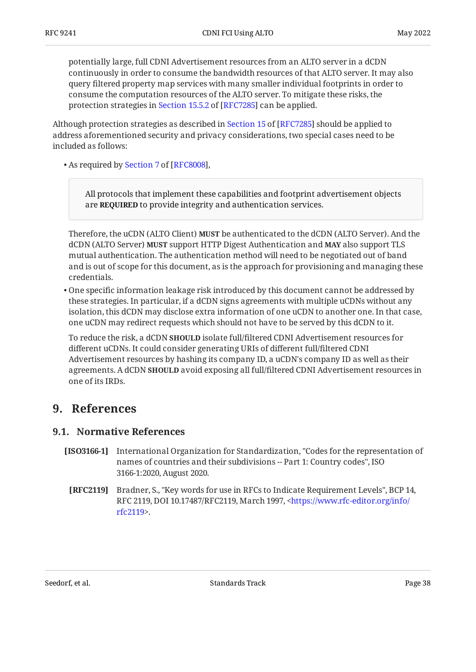potentially large, full CDNI Advertisement resources from an ALTO server in a dCDN continuously in order to consume the bandwidth resources of that ALTO server. It may also query filtered property map services with many smaller individual footprints in order to consume the computation resources of the ALTO server. To mitigate these risks, the protectionstrategies in Section 15.5.2 of [RFC7285] can be applied.

Althoughprotection strategies as described in Section 15 of [RFC7285] should be applied to address aforementioned security and privacy considerations, two special cases need to be included as follows:

•As required by Section 7 of [RFC8008],

All protocols that implement these capabilities and footprint advertisement objects are **REQUIRED** to provide integrity and authentication services.

Therefore, the uCDN (ALTO Client) **MUST** be authenticated to the dCDN (ALTO Server). And the  $dCDN$  (ALTO Server) **MUST** support HTTP Digest Authentication and **MAY** also support TLS mutual authentication. The authentication method will need to be negotiated out of band and is out of scope for this document, as is the approach for provisioning and managing these credentials.

One specific information leakage risk introduced by this document cannot be addressed by • these strategies. In particular, if a dCDN signs agreements with multiple uCDNs without any isolation, this dCDN may disclose extra information of one uCDN to another one. In that case, one uCDN may redirect requests which should not have to be served by this dCDN to it.

To reduce the risk, a dCDN **SHOULD** isolate full/filtered CDNI Advertisement resources for different uCDNs. It could consider generating URIs of different full/filtered CDNI Advertisement resources by hashing its company ID, a uCDN's company ID as well as their agreements. A dCDN **SHOULD** avoid exposing all full/filtered CDNI Advertisement resources in one of its IRDs.

## <span id="page-37-1"></span><span id="page-37-0"></span>**[9. References](#page-37-0)**

### **[9.1. Normative References](#page-37-1)**

- <span id="page-37-3"></span><span id="page-37-2"></span>**[ISO3166-1]** , International Organization for Standardization "Codes for the representation of names of countries and their subdivisions -- Part 1: Country codes", ISO 3166-1:2020, August 2020.
	- **[RFC2119]** Bradner, S., "Key words for use in RFCs to Indicate Requirement Levels", BCP 14, RFC 2119, DOI 10.17487/RFC2119, March 1997, [<https://www.rfc-editor.org/info/](https://www.rfc-editor.org/info/rfc2119) . [rfc2119](https://www.rfc-editor.org/info/rfc2119)>

Seedorf, et al. Note as a standard between the Standards Track Page 38 and the Page 38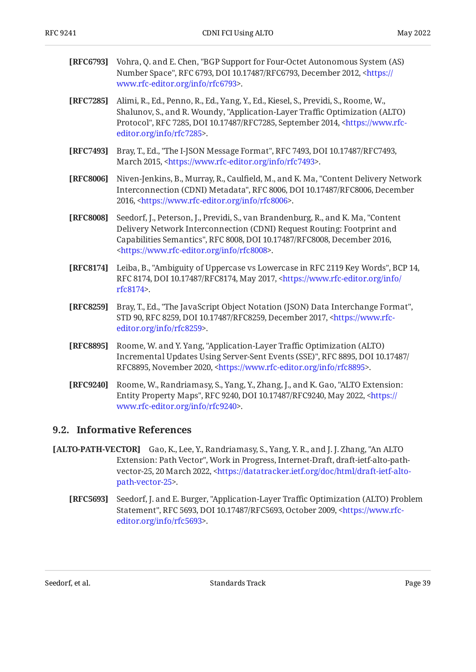<span id="page-38-11"></span><span id="page-38-10"></span><span id="page-38-4"></span><span id="page-38-2"></span><span id="page-38-1"></span>

| [RFC6793] | Vohra, Q. and E. Chen, "BGP Support for Four-Octet Autonomous System (AS)<br>Number Space", RFC 6793, DOI 10.17487/RFC6793, December 2012, <https: <br="">www.rfc-editor.org/info/rfc6793&gt;.</https:>                                                                                              |
|-----------|------------------------------------------------------------------------------------------------------------------------------------------------------------------------------------------------------------------------------------------------------------------------------------------------------|
| [RFC7285] | Alimi, R., Ed., Penno, R., Ed., Yang, Y., Ed., Kiesel, S., Previdi, S., Roome, W.,<br>Shalunov, S., and R. Woundy, "Application-Layer Traffic Optimization (ALTO)<br>Protocol", RFC 7285, DOI 10.17487/RFC7285, September 2014, <https: www.rfc-<br="">editor.org/info/rfc7285&gt;.</https:>         |
| [RFC7493] | Bray, T., Ed., "The I-JSON Message Format", RFC 7493, DOI 10.17487/RFC7493,<br>March 2015, <https: info="" rfc7493="" www.rfc-editor.org="">.</https:>                                                                                                                                               |
| [RFC8006] | Niven-Jenkins, B., Murray, R., Caulfield, M., and K. Ma, "Content Delivery Network<br>Interconnection (CDNI) Metadata", RFC 8006, DOI 10.17487/RFC8006, December<br>2016, <https: info="" rfc8006="" www.rfc-editor.org="">.</https:>                                                                |
| [RFC8008] | Seedorf, J., Peterson, J., Previdi, S., van Brandenburg, R., and K. Ma, "Content<br>Delivery Network Interconnection (CDNI) Request Routing: Footprint and<br>Capabilities Semantics", RFC 8008, DOI 10.17487/RFC8008, December 2016,<br><https: info="" rfc8008="" www.rfc-editor.org="">.</https:> |
| [RFC8174] | Leiba, B., "Ambiguity of Uppercase vs Lowercase in RFC 2119 Key Words", BCP 14,<br>RFC 8174, DOI 10.17487/RFC8174, May 2017, <https: <br="" info="" www.rfc-editor.org="">rfc8174&gt;.</https:>                                                                                                      |
| [RFC8259] | Bray, T., Ed., "The JavaScript Object Notation (JSON) Data Interchange Format",<br>STD 90, RFC 8259, DOI 10.17487/RFC8259, December 2017, <https: www.rfc-<br="">editor.org/info/rfc8259&gt;.</https:>                                                                                               |
| [RFC8895] | Roome, W. and Y. Yang, "Application-Layer Traffic Optimization (ALTO)<br>Incremental Updates Using Server-Sent Events (SSE)", RFC 8895, DOI 10.17487/<br>RFC8895, November 2020, <https: info="" rfc8895="" www.rfc-editor.org="">.</https:>                                                         |
| [RFC9240] | Roome, W., Randriamasy, S., Yang, Y., Zhang, J., and K. Gao, "ALTO Extension:<br>Entity Property Maps", RFC 9240, DOI 10.17487/RFC9240, May 2022, <https: <="" th=""></https:>                                                                                                                       |

#### <span id="page-38-7"></span><span id="page-38-5"></span><span id="page-38-0"></span>**[9.2. Informative References](#page-38-0)**

<span id="page-38-9"></span><span id="page-38-3"></span>. [www.rfc-editor.org/info/rfc9240>](https://www.rfc-editor.org/info/rfc9240)

- <span id="page-38-8"></span><span id="page-38-6"></span>**[ALTO-PATH-VECTOR]** Gao, K., Lee, Y., Randriamasy, S., Yang, Y. R., and J. J. Zhang, "An ALTO Extension: Path Vector", Work in Progress, Internet-Draft, draft-ietf-alto-path-vector-25, 20 March 2022, [<https://datatracker.ietf.org/doc/html/draft-ietf-alto-](https://datatracker.ietf.org/doc/html/draft-ietf-alto-path-vector-25). [path-vector-25>](https://datatracker.ietf.org/doc/html/draft-ietf-alto-path-vector-25)
	- **[RFC5693]** Seedorf, J. and E. Burger, "Application-Layer Traffic Optimization (ALTO) Problem Statement", RFC 5693, DOI 10.17487/RFC5693, October 2009, <[https://www.rfc-](https://www.rfc-editor.org/info/rfc5693). [editor.org/info/rfc5693](https://www.rfc-editor.org/info/rfc5693)>

Seedorf, et al. Standards Track Standards Track Page 39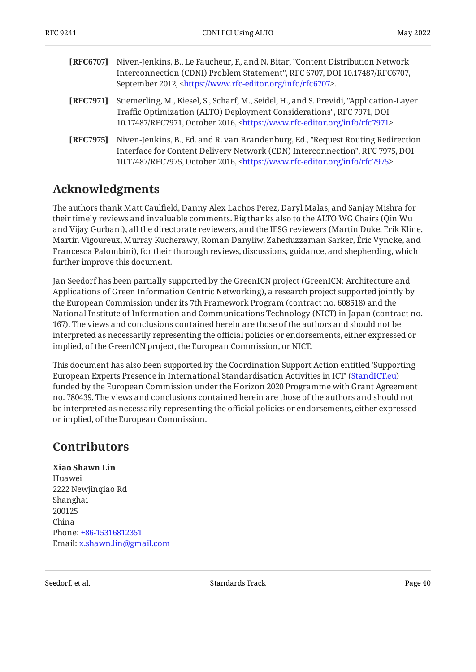<span id="page-39-4"></span><span id="page-39-2"></span>

| [RFC6707] | Niven-Jenkins, B., Le Faucheur, F., and N. Bitar, "Content Distribution Network"<br>Interconnection (CDNI) Problem Statement", RFC 6707, DOI 10.17487/RFC6707,<br>September 2012, <https: info="" rfc6707="" www.rfc-editor.org="">.</https:>                   |
|-----------|-----------------------------------------------------------------------------------------------------------------------------------------------------------------------------------------------------------------------------------------------------------------|
| [RFC7971] | Stiemerling, M., Kiesel, S., Scharf, M., Seidel, H., and S. Previdi, "Application-Layer<br>Traffic Optimization (ALTO) Deployment Considerations", RFC 7971, DOI<br>10.17487/RFC7971, October 2016, <https: info="" rfc7971="" www.rfc-editor.org="">.</https:> |
| [RFC7975] | Niven-Jenkins, B., Ed. and R. van Brandenburg, Ed., "Request Routing Redirection<br>Interface for Content Delivery Network (CDN) Interconnection", RFC 7975, DOI<br>10.17487/RFC7975, October 2016, <https: info="" rfc7975="" www.rfc-editor.org="">.</https:> |

## <span id="page-39-3"></span><span id="page-39-0"></span>**[Acknowledgments](#page-39-0)**

The authors thank Matt Caulfield, Danny Alex Lachos Perez, Daryl Malas, and Sanjay Mishra for their timely reviews and invaluable comments. Big thanks also to the ALTO WG Chairs ( Qin Wu and Vijay Gurbani), all the directorate reviewers, and the IESG reviewers (Martin Duke, Erik Kline, Martin Vigoureux, Murray Kucherawy, Roman Danyliw, Zaheduzzaman Sarker, Éric Vyncke, and Francesca Palombini), for their thorough reviews, discussions, guidance, and shepherding, which further improve this document.

Jan Seedorf has been partially supported by the GreenICN project (GreenICN: Architecture and Applications of Green Information Centric Networking), a research project supported jointly by the European Commission under its 7th Framework Program (contract no. 608518) and the National Institute of Information and Communications Technology (NICT) in Japan (contract no. 167). The views and conclusions contained herein are those of the authors and should not be interpreted as necessarily representing the official policies or endorsements, either expressed or implied, of the GreenICN project, the European Commission, or NICT.

This document has also been supported by the Coordination Support Action entitled 'Supporting European Experts Presence in International Standardisation Activities in ICT' [\(StandICT.eu](https://www.standict.eu/)) funded by the European Commission under the Horizon 2020 Programme with Grant Agreement no. 780439. The views and conclusions contained herein are those of the authors and should not be interpreted as necessarily representing the official policies or endorsements, either expressed or implied, of the European Commission.

## <span id="page-39-1"></span>**[Contributors](#page-39-1)**

#### **Xiao Shawn Lin**

Huawei 2222 Newjinqiao Rd Shanghai 200125 China Phone: [+86-15316812351](tel:+86-15316812351) Email: [x.shawn.lin@gmail.com](mailto:x.shawn.lin@gmail.com)